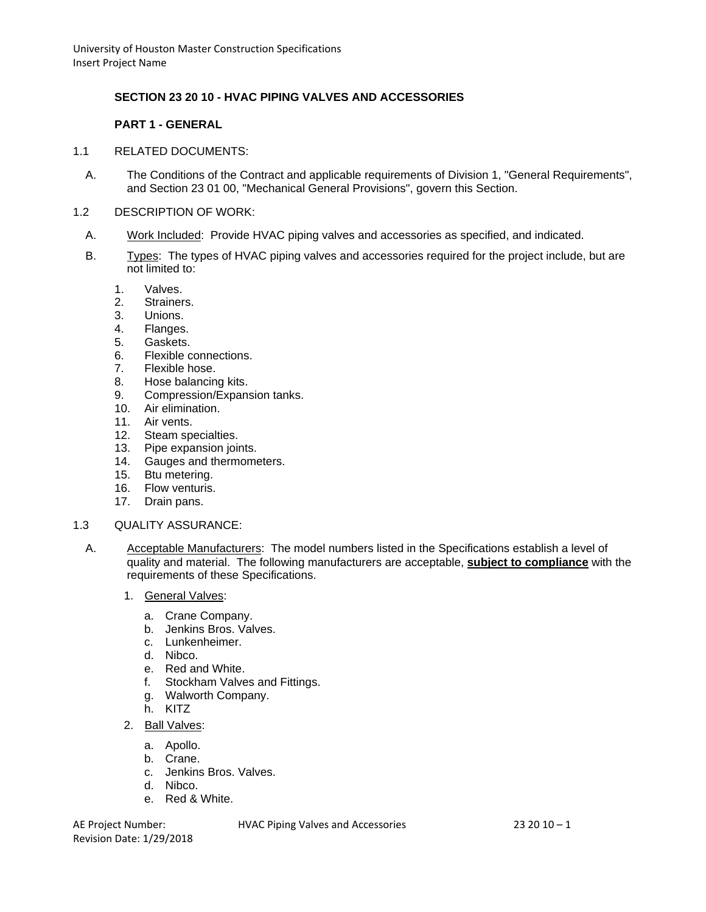# **SECTION 23 20 10 - HVAC PIPING VALVES AND ACCESSORIES**

## **PART 1 - GENERAL**

#### 1.1 RELATED DOCUMENTS:

- A. The Conditions of the Contract and applicable requirements of Division 1, "General Requirements", and Section 23 01 00, "Mechanical General Provisions", govern this Section.
- 1.2 DESCRIPTION OF WORK:
	- A. Work Included: Provide HVAC piping valves and accessories as specified, and indicated.
	- B. Types: The types of HVAC piping valves and accessories required for the project include, but are not limited to:
		- 1. Valves.
		- 2. Strainers.
		- 3. Unions.
		- 4. Flanges.
		- 5. Gaskets.
		- 6. Flexible connections.
		- 7. Flexible hose.
		- 8. Hose balancing kits.<br>9. Compression/Expans
		- 9. Compression/Expansion tanks.
		- 10. Air elimination.
		- 11. Air vents.
		- 12. Steam specialties.
		- 13. Pipe expansion joints.
		- 14. Gauges and thermometers.
		- 15. Btu metering.
		- 16. Flow venturis.
		- 17. Drain pans.

#### 1.3 QUALITY ASSURANCE:

- A. Acceptable Manufacturers: The model numbers listed in the Specifications establish a level of quality and material. The following manufacturers are acceptable, **subject to compliance** with the requirements of these Specifications.
	- 1. General Valves:
		- a. Crane Company.
		- b. Jenkins Bros. Valves.
		- c. Lunkenheimer.
		- d. Nibco.
		- e. Red and White.
		- f. Stockham Valves and Fittings.
		- g. Walworth Company.
		- h. KITZ
	- 2. Ball Valves:
		- a. Apollo.
		- b. Crane.
		- c. Jenkins Bros. Valves.
		- d. Nibco.
		- e. Red & White.

Revision Date: 1/29/2018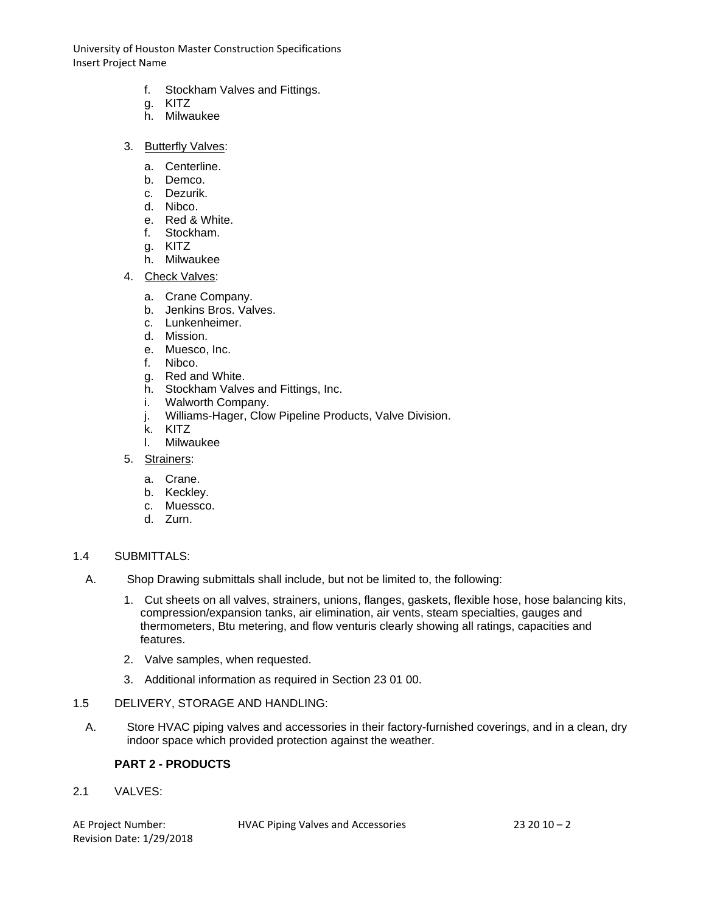- f. Stockham Valves and Fittings.
- g. KITZ
- h. Milwaukee
- 3. Butterfly Valves:
	- a. Centerline.
	- b. Demco.
	- c. Dezurik.
	- d. Nibco.
	- e. Red & White.
	- f. Stockham.
	- g. KITZ
	- h. Milwaukee
- 4. Check Valves:
	- a. Crane Company.
	- b. Jenkins Bros. Valves.
	- c. Lunkenheimer.
	- d. Mission.
	- e. Muesco, Inc.
	- f. Nibco.
	- g. Red and White.
	- h. Stockham Valves and Fittings, Inc.
	- i. Walworth Company.
	- j. Williams-Hager, Clow Pipeline Products, Valve Division.
	- k. KITZ
	- l. Milwaukee
- 5. Strainers:
	- a. Crane.
	- b. Keckley.
	- c. Muessco.
	- d. Zurn.

#### 1.4 SUBMITTALS:

- A. Shop Drawing submittals shall include, but not be limited to, the following:
	- 1. Cut sheets on all valves, strainers, unions, flanges, gaskets, flexible hose, hose balancing kits, compression/expansion tanks, air elimination, air vents, steam specialties, gauges and thermometers, Btu metering, and flow venturis clearly showing all ratings, capacities and features.
	- 2. Valve samples, when requested.
	- 3. Additional information as required in Section 23 01 00.
- 1.5 DELIVERY, STORAGE AND HANDLING:
	- A. Store HVAC piping valves and accessories in their factory-furnished coverings, and in a clean, dry indoor space which provided protection against the weather.

## **PART 2 - PRODUCTS**

2.1 VALVES:

Revision Date: 1/29/2018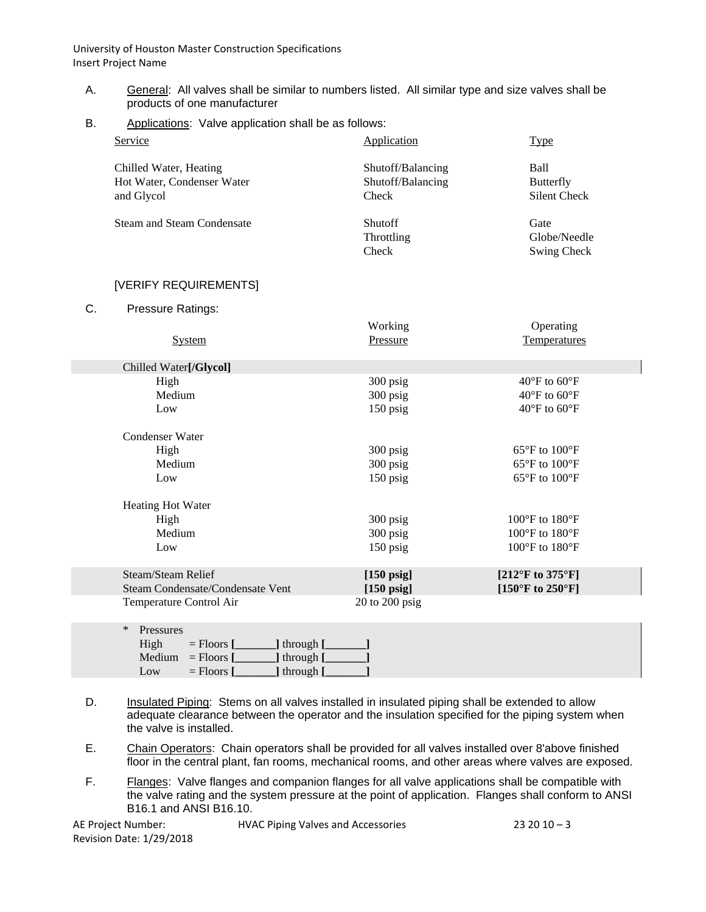- A. General: All valves shall be similar to numbers listed. All similar type and size valves shall be products of one manufacturer
- B. Applications: Valve application shall be as follows:

| Service                                                            | Application                                     | <b>Type</b>                              |
|--------------------------------------------------------------------|-------------------------------------------------|------------------------------------------|
| Chilled Water, Heating<br>Hot Water, Condenser Water<br>and Glycol | Shutoff/Balancing<br>Shutoff/Balancing<br>Check | Ball<br>Butterfly<br><b>Silent Check</b> |
| <b>Steam and Steam Condensate</b>                                  | Shutoff<br>Throttling<br>Check                  | Gate<br>Globe/Needle<br>Swing Check      |

## [VERIFY REQUIREMENTS]

C. Pressure Ratings:

|                                  | Working              | Operating                             |
|----------------------------------|----------------------|---------------------------------------|
| <b>System</b>                    | <b>Pressure</b>      | <b>Temperatures</b>                   |
|                                  |                      |                                       |
| Chilled Water[/Glycol]           |                      |                                       |
| High                             | 300 psig             | $40^{\circ}$ F to 60 $^{\circ}$ F     |
| Medium                           | 300 psig             | $40^{\circ}$ F to $60^{\circ}$ F      |
| Low                              | 150 psig             | $40^{\circ}$ F to $60^{\circ}$ F      |
|                                  |                      |                                       |
| Condenser Water                  |                      |                                       |
| High                             | 300 psig             | $65^{\circ}$ F to $100^{\circ}$ F     |
| Medium                           | 300 psig             | $65^{\circ}$ F to $100^{\circ}$ F     |
| Low                              | 150 psig             | $65^{\circ}$ F to $100^{\circ}$ F     |
| <b>Heating Hot Water</b>         |                      |                                       |
| High                             | 300 psig             | $100^{\circ}$ F to $180^{\circ}$ F    |
| Medium                           | 300 psig             | $100^{\circ}$ F to $180^{\circ}$ F    |
| Low                              | $150$ psig           | $100^{\circ}$ F to $180^{\circ}$ F    |
|                                  |                      |                                       |
| Steam/Steam Relief               | $[150 \text{ psig}]$ | [212°F to 375°F]                      |
| Steam Condensate/Condensate Vent | $[150 \text{ psig}]$ | [ $150^{\circ}$ F to $250^{\circ}$ F] |
| Temperature Control Air          | $20$ to $200$ psig   |                                       |
|                                  |                      |                                       |
| $D_{200012200}$<br>$\ast$        |                      |                                       |

| $\ast$ | Pressures |                     |                         |  |
|--------|-----------|---------------------|-------------------------|--|
|        | High      | $=$ Floors $\Gamma$ | $\Box$ ] through $\Box$ |  |
|        | Medium    | $=$ Floors $\Gamma$ | ] through [             |  |
|        | Low       | $=$ Floors $\Gamma$ | ] through [             |  |

- D. Insulated Piping: Stems on all valves installed in insulated piping shall be extended to allow adequate clearance between the operator and the insulation specified for the piping system when the valve is installed.
- E. Chain Operators: Chain operators shall be provided for all valves installed over 8'above finished floor in the central plant, fan rooms, mechanical rooms, and other areas where valves are exposed.
- F. Flanges: Valve flanges and companion flanges for all valve applications shall be compatible with the valve rating and the system pressure at the point of application. Flanges shall conform to ANSI B16.1 and ANSI B16.10.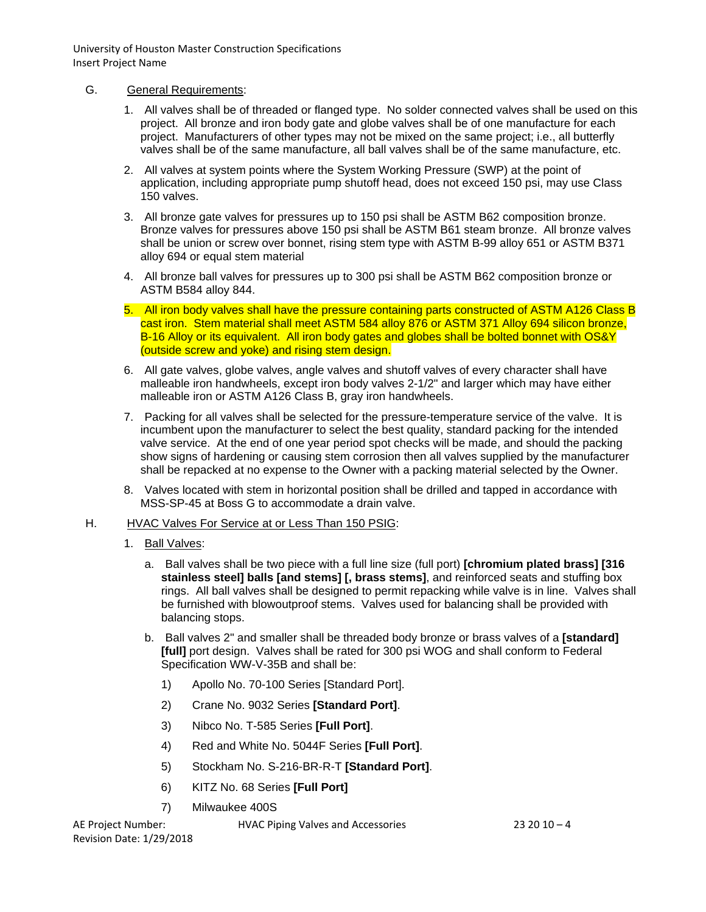### G. General Requirements:

- 1. All valves shall be of threaded or flanged type. No solder connected valves shall be used on this project. All bronze and iron body gate and globe valves shall be of one manufacture for each project. Manufacturers of other types may not be mixed on the same project; i.e., all butterfly valves shall be of the same manufacture, all ball valves shall be of the same manufacture, etc.
- 2. All valves at system points where the System Working Pressure (SWP) at the point of application, including appropriate pump shutoff head, does not exceed 150 psi, may use Class 150 valves.
- 3. All bronze gate valves for pressures up to 150 psi shall be ASTM B62 composition bronze. Bronze valves for pressures above 150 psi shall be ASTM B61 steam bronze. All bronze valves shall be union or screw over bonnet, rising stem type with ASTM B-99 alloy 651 or ASTM B371 alloy 694 or equal stem material
- 4. All bronze ball valves for pressures up to 300 psi shall be ASTM B62 composition bronze or ASTM B584 alloy 844.
- 5. All iron body valves shall have the pressure containing parts constructed of ASTM A126 Class B cast iron. Stem material shall meet ASTM 584 alloy 876 or ASTM 371 Alloy 694 silicon bronze, B-16 Alloy or its equivalent. All iron body gates and globes shall be bolted bonnet with OS&Y (outside screw and yoke) and rising stem design.
- 6. All gate valves, globe valves, angle valves and shutoff valves of every character shall have malleable iron handwheels, except iron body valves 2-1/2" and larger which may have either malleable iron or ASTM A126 Class B, gray iron handwheels.
- 7. Packing for all valves shall be selected for the pressure-temperature service of the valve. It is incumbent upon the manufacturer to select the best quality, standard packing for the intended valve service. At the end of one year period spot checks will be made, and should the packing show signs of hardening or causing stem corrosion then all valves supplied by the manufacturer shall be repacked at no expense to the Owner with a packing material selected by the Owner.
- 8. Valves located with stem in horizontal position shall be drilled and tapped in accordance with MSS-SP-45 at Boss G to accommodate a drain valve.

#### H. HVAC Valves For Service at or Less Than 150 PSIG:

- 1. Ball Valves:
	- a. Ball valves shall be two piece with a full line size (full port) **[chromium plated brass] [316 stainless steel] balls [and stems] [, brass stems]**, and reinforced seats and stuffing box rings. All ball valves shall be designed to permit repacking while valve is in line. Valves shall be furnished with blowoutproof stems. Valves used for balancing shall be provided with balancing stops.
	- b. Ball valves 2" and smaller shall be threaded body bronze or brass valves of a **[standard] [full]** port design. Valves shall be rated for 300 psi WOG and shall conform to Federal Specification WW-V-35B and shall be:
		- 1) Apollo No. 70-100 Series [Standard Port].
		- 2) Crane No. 9032 Series **[Standard Port]**.
		- 3) Nibco No. T-585 Series **[Full Port]**.
		- 4) Red and White No. 5044F Series **[Full Port]**.
		- 5) Stockham No. S-216-BR-R-T **[Standard Port]**.
		- 6) KITZ No. 68 Series **[Full Port]**
		- 7) Milwaukee 400S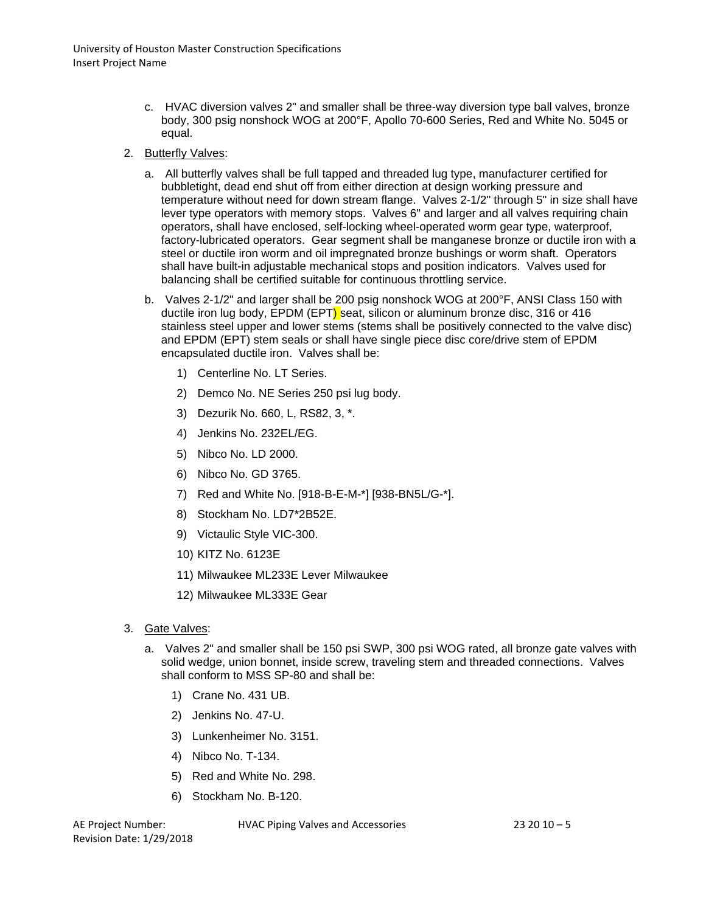- c. HVAC diversion valves 2" and smaller shall be three-way diversion type ball valves, bronze body, 300 psig nonshock WOG at 200°F, Apollo 70-600 Series, Red and White No. 5045 or equal.
- 2. Butterfly Valves:
	- a. All butterfly valves shall be full tapped and threaded lug type, manufacturer certified for bubbletight, dead end shut off from either direction at design working pressure and temperature without need for down stream flange. Valves 2-1/2" through 5" in size shall have lever type operators with memory stops. Valves 6" and larger and all valves requiring chain operators, shall have enclosed, self-locking wheel-operated worm gear type, waterproof, factory-lubricated operators. Gear segment shall be manganese bronze or ductile iron with a steel or ductile iron worm and oil impregnated bronze bushings or worm shaft. Operators shall have built-in adjustable mechanical stops and position indicators. Valves used for balancing shall be certified suitable for continuous throttling service.
	- b. Valves 2-1/2" and larger shall be 200 psig nonshock WOG at 200°F, ANSI Class 150 with ductile iron lug body, EPDM (EPT) seat, silicon or aluminum bronze disc, 316 or 416 stainless steel upper and lower stems (stems shall be positively connected to the valve disc) and EPDM (EPT) stem seals or shall have single piece disc core/drive stem of EPDM encapsulated ductile iron. Valves shall be:
		- 1) Centerline No. LT Series.
		- 2) Demco No. NE Series 250 psi lug body.
		- 3) Dezurik No. 660, L, RS82, 3, \*.
		- 4) Jenkins No. 232EL/EG.
		- 5) Nibco No. LD 2000.
		- 6) Nibco No. GD 3765.
		- 7) Red and White No. [918-B-E-M-\*] [938-BN5L/G-\*].
		- 8) Stockham No. LD7\*2B52E.
		- 9) Victaulic Style VIC-300.
		- 10) KITZ No. 6123E
		- 11) Milwaukee ML233E Lever Milwaukee
		- 12) Milwaukee ML333E Gear
- 3. Gate Valves:
	- a. Valves 2" and smaller shall be 150 psi SWP, 300 psi WOG rated, all bronze gate valves with solid wedge, union bonnet, inside screw, traveling stem and threaded connections. Valves shall conform to MSS SP-80 and shall be:
		- 1) Crane No. 431 UB.
		- 2) Jenkins No. 47-U.
		- 3) Lunkenheimer No. 3151.
		- 4) Nibco No. T-134.
		- 5) Red and White No. 298.
		- 6) Stockham No. B-120.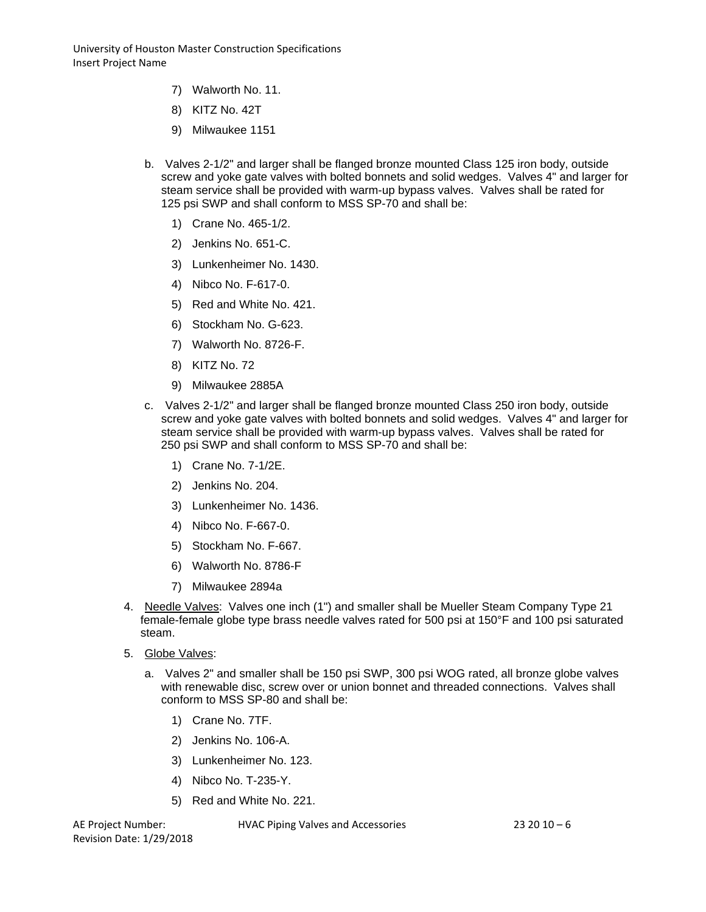- 7) Walworth No. 11.
- 8) KITZ No. 42T
- 9) Milwaukee 1151
- b. Valves 2-1/2" and larger shall be flanged bronze mounted Class 125 iron body, outside screw and yoke gate valves with bolted bonnets and solid wedges. Valves 4" and larger for steam service shall be provided with warm-up bypass valves. Valves shall be rated for 125 psi SWP and shall conform to MSS SP-70 and shall be:
	- 1) Crane No. 465-1/2.
	- 2) Jenkins No. 651-C.
	- 3) Lunkenheimer No. 1430.
	- 4) Nibco No. F-617-0.
	- 5) Red and White No. 421.
	- 6) Stockham No. G-623.
	- 7) Walworth No. 8726-F.
	- 8) KITZ No. 72
	- 9) Milwaukee 2885A
- c. Valves 2-1/2" and larger shall be flanged bronze mounted Class 250 iron body, outside screw and yoke gate valves with bolted bonnets and solid wedges. Valves 4" and larger for steam service shall be provided with warm-up bypass valves. Valves shall be rated for 250 psi SWP and shall conform to MSS SP-70 and shall be:
	- 1) Crane No. 7-1/2E.
	- 2) Jenkins No. 204.
	- 3) Lunkenheimer No. 1436.
	- 4) Nibco No. F-667-0.
	- 5) Stockham No. F-667.
	- 6) Walworth No. 8786-F
	- 7) Milwaukee 2894a
- 4. Needle Valves: Valves one inch (1") and smaller shall be Mueller Steam Company Type 21 female-female globe type brass needle valves rated for 500 psi at 150°F and 100 psi saturated steam.
- 5. Globe Valves:
	- a. Valves 2" and smaller shall be 150 psi SWP, 300 psi WOG rated, all bronze globe valves with renewable disc, screw over or union bonnet and threaded connections. Valves shall conform to MSS SP-80 and shall be:
		- 1) Crane No. 7TF.
		- 2) Jenkins No. 106-A.
		- 3) Lunkenheimer No. 123.
		- 4) Nibco No. T-235-Y.
		- 5) Red and White No. 221.

Revision Date: 1/29/2018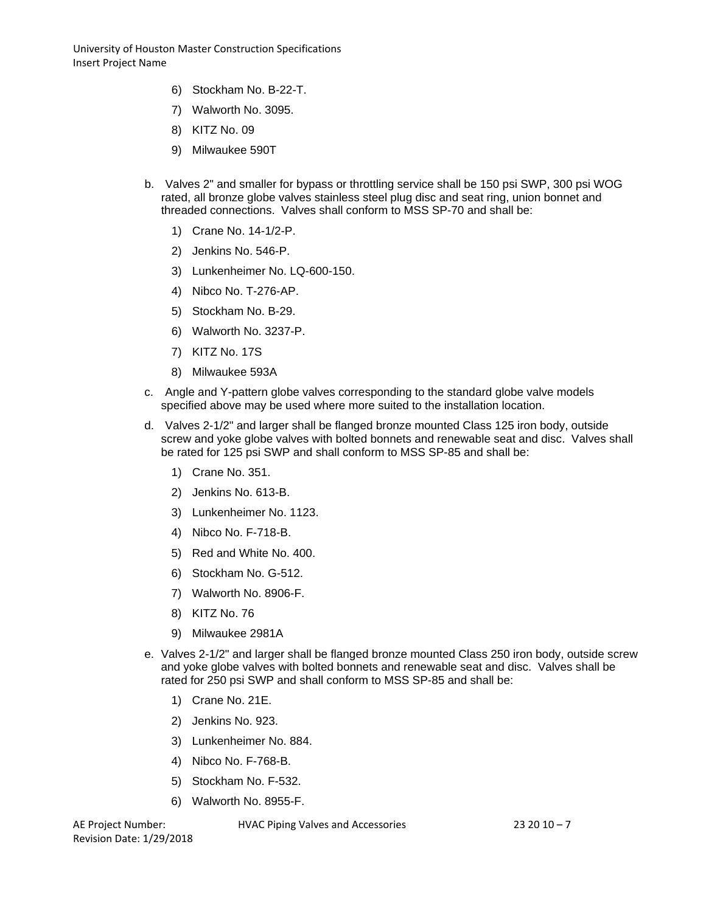- 6) Stockham No. B-22-T.
- 7) Walworth No. 3095.
- 8) KITZ No. 09
- 9) Milwaukee 590T
- b. Valves 2" and smaller for bypass or throttling service shall be 150 psi SWP, 300 psi WOG rated, all bronze globe valves stainless steel plug disc and seat ring, union bonnet and threaded connections. Valves shall conform to MSS SP-70 and shall be:
	- 1) Crane No. 14-1/2-P.
	- 2) Jenkins No. 546-P.
	- 3) Lunkenheimer No. LQ-600-150.
	- 4) Nibco No. T-276-AP.
	- 5) Stockham No. B-29.
	- 6) Walworth No. 3237-P.
	- 7) KITZ No. 17S
	- 8) Milwaukee 593A
- c. Angle and Y-pattern globe valves corresponding to the standard globe valve models specified above may be used where more suited to the installation location.
- d. Valves 2-1/2" and larger shall be flanged bronze mounted Class 125 iron body, outside screw and yoke globe valves with bolted bonnets and renewable seat and disc. Valves shall be rated for 125 psi SWP and shall conform to MSS SP-85 and shall be:
	- 1) Crane No. 351.
	- 2) Jenkins No. 613-B.
	- 3) Lunkenheimer No. 1123.
	- 4) Nibco No. F-718-B.
	- 5) Red and White No. 400.
	- 6) Stockham No. G-512.
	- 7) Walworth No. 8906-F.
	- 8) KITZ No. 76
	- 9) Milwaukee 2981A
- e. Valves 2-1/2" and larger shall be flanged bronze mounted Class 250 iron body, outside screw and yoke globe valves with bolted bonnets and renewable seat and disc. Valves shall be rated for 250 psi SWP and shall conform to MSS SP-85 and shall be:
	- 1) Crane No. 21E.
	- 2) Jenkins No. 923.
	- 3) Lunkenheimer No. 884.
	- 4) Nibco No. F-768-B.
	- 5) Stockham No. F-532.
	- 6) Walworth No. 8955-F.

Revision Date: 1/29/2018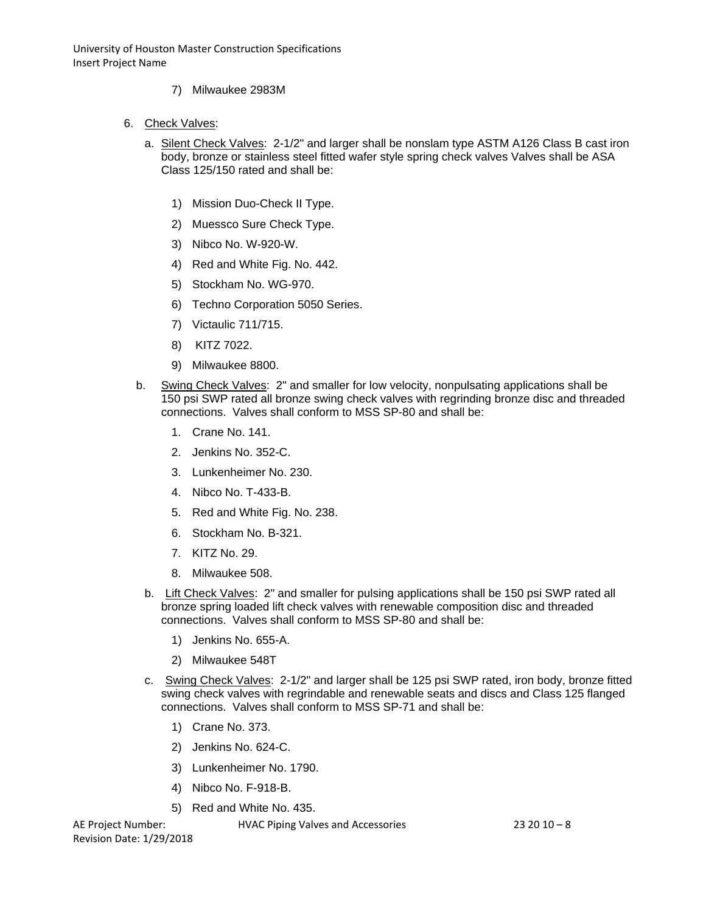- 7) Milwaukee 2983M
- 6. Check Valves:
	- a. Silent Check Valves: 2-1/2" and larger shall be nonslam type ASTM A126 Class B cast iron body, bronze or stainless steel fitted wafer style spring check valves Valves shall be ASA Class 125/150 rated and shall be:
		- 1) Mission Duo-Check II Type.
		- 2) Muessco Sure Check Type.
		- 3) Nibco No. W-920-W.
		- 4) Red and White Fig. No. 442.
		- 5) Stockham No. WG-970.
		- 6) Techno Corporation 5050 Series.
		- 7) Victaulic 711/715.
		- 8) KITZ 7022.
		- 9) Milwaukee 8800.
	- b. Swing Check Valves: 2" and smaller for low velocity, nonpulsating applications shall be 150 psi SWP rated all bronze swing check valves with regrinding bronze disc and threaded connections. Valves shall conform to MSS SP-80 and shall be:
		- 1. Crane No. 141.
		- 2. Jenkins No. 352-C.
		- 3. Lunkenheimer No. 230.
		- 4. Nibco No. T-433-B.
		- 5. Red and White Fig. No. 238.
		- 6. Stockham No. B-321.
		- 7. KITZ No. 29.
		- 8. Milwaukee 508.
		- b. Lift Check Valves: 2" and smaller for pulsing applications shall be 150 psi SWP rated all bronze spring loaded lift check valves with renewable composition disc and threaded connections. Valves shall conform to MSS SP-80 and shall be:
			- 1) Jenkins No. 655-A.
			- 2) Milwaukee 548T
		- c. Swing Check Valves: 2-1/2" and larger shall be 125 psi SWP rated, iron body, bronze fitted swing check valves with regrindable and renewable seats and discs and Class 125 flanged connections. Valves shall conform to MSS SP-71 and shall be:
			- 1) Crane No. 373.
			- 2) Jenkins No. 624-C.
			- 3) Lunkenheimer No. 1790.
			- 4) Nibco No. F-918-B.
			- 5) Red and White No. 435.

Revision Date: 1/29/2018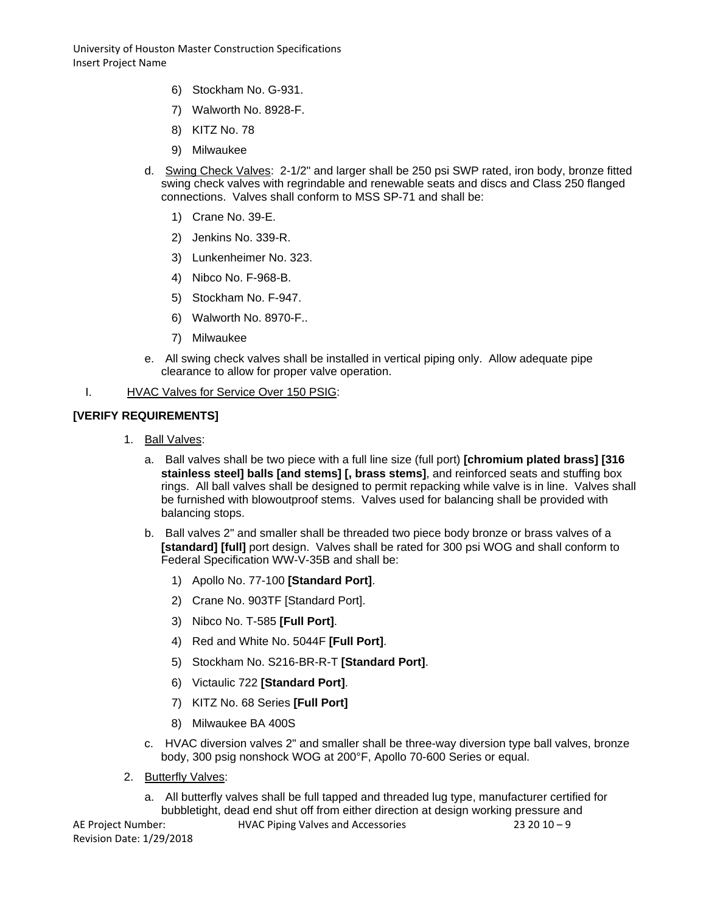- 6) Stockham No. G-931.
- 7) Walworth No. 8928-F.
- 8) KITZ No. 78
- 9) Milwaukee
- d. Swing Check Valves: 2-1/2" and larger shall be 250 psi SWP rated, iron body, bronze fitted swing check valves with regrindable and renewable seats and discs and Class 250 flanged connections. Valves shall conform to MSS SP-71 and shall be:
	- 1) Crane No. 39-E.
	- 2) Jenkins No. 339-R.
	- 3) Lunkenheimer No. 323.
	- 4) Nibco No. F-968-B.
	- 5) Stockham No. F-947.
	- 6) Walworth No. 8970-F..
	- 7) Milwaukee
- e. All swing check valves shall be installed in vertical piping only. Allow adequate pipe clearance to allow for proper valve operation.

#### I. HVAC Valves for Service Over 150 PSIG:

## **[VERIFY REQUIREMENTS]**

- 1. Ball Valves:
	- a. Ball valves shall be two piece with a full line size (full port) **[chromium plated brass] [316 stainless steel] balls [and stems] [, brass stems]**, and reinforced seats and stuffing box rings. All ball valves shall be designed to permit repacking while valve is in line. Valves shall be furnished with blowoutproof stems. Valves used for balancing shall be provided with balancing stops.
	- b. Ball valves 2" and smaller shall be threaded two piece body bronze or brass valves of a **[standard] [full]** port design. Valves shall be rated for 300 psi WOG and shall conform to Federal Specification WW-V-35B and shall be:
		- 1) Apollo No. 77-100 **[Standard Port]**.
		- 2) Crane No. 903TF [Standard Port].
		- 3) Nibco No. T-585 **[Full Port]**.
		- 4) Red and White No. 5044F **[Full Port]**.
		- 5) Stockham No. S216-BR-R-T **[Standard Port]**.
		- 6) Victaulic 722 **[Standard Port]**.
		- 7) KITZ No. 68 Series **[Full Port]**
		- 8) Milwaukee BA 400S
	- c. HVAC diversion valves 2" and smaller shall be three-way diversion type ball valves, bronze body, 300 psig nonshock WOG at 200°F, Apollo 70-600 Series or equal.
- 2. Butterfly Valves:
	- a. All butterfly valves shall be full tapped and threaded lug type, manufacturer certified for bubbletight, dead end shut off from either direction at design working pressure and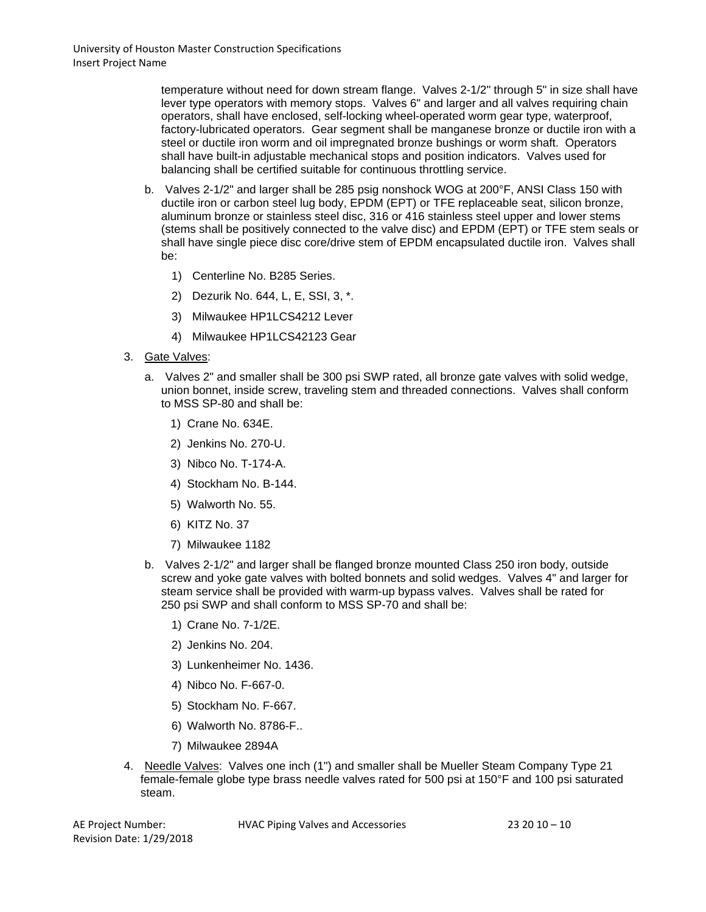temperature without need for down stream flange. Valves 2-1/2" through 5" in size shall have lever type operators with memory stops. Valves 6" and larger and all valves requiring chain operators, shall have enclosed, self-locking wheel-operated worm gear type, waterproof, factory-lubricated operators. Gear segment shall be manganese bronze or ductile iron with a steel or ductile iron worm and oil impregnated bronze bushings or worm shaft. Operators shall have built-in adjustable mechanical stops and position indicators. Valves used for balancing shall be certified suitable for continuous throttling service.

- b. Valves 2-1/2" and larger shall be 285 psig nonshock WOG at 200°F, ANSI Class 150 with ductile iron or carbon steel lug body, EPDM (EPT) or TFE replaceable seat, silicon bronze, aluminum bronze or stainless steel disc, 316 or 416 stainless steel upper and lower stems (stems shall be positively connected to the valve disc) and EPDM (EPT) or TFE stem seals or shall have single piece disc core/drive stem of EPDM encapsulated ductile iron. Valves shall be:
	- 1) Centerline No. B285 Series.
	- 2) Dezurik No. 644, L, E, SSI, 3, \*.
	- 3) Milwaukee HP1LCS4212 Lever
	- 4) Milwaukee HP1LCS42123 Gear
- 3. Gate Valves:
	- a. Valves 2" and smaller shall be 300 psi SWP rated, all bronze gate valves with solid wedge, union bonnet, inside screw, traveling stem and threaded connections. Valves shall conform to MSS SP-80 and shall be:
		- 1) Crane No. 634E.
		- 2) Jenkins No. 270-U.
		- 3) Nibco No. T-174-A.
		- 4) Stockham No. B-144.
		- 5) Walworth No. 55.
		- 6) KITZ No. 37
		- 7) Milwaukee 1182
	- b. Valves 2-1/2" and larger shall be flanged bronze mounted Class 250 iron body, outside screw and yoke gate valves with bolted bonnets and solid wedges. Valves 4" and larger for steam service shall be provided with warm-up bypass valves. Valves shall be rated for 250 psi SWP and shall conform to MSS SP-70 and shall be:
		- 1) Crane No. 7-1/2E.
		- 2) Jenkins No. 204.
		- 3) Lunkenheimer No. 1436.
		- 4) Nibco No. F-667-0.
		- 5) Stockham No. F-667.
		- 6) Walworth No. 8786-F..
		- 7) Milwaukee 2894A
- 4. Needle Valves: Valves one inch (1") and smaller shall be Mueller Steam Company Type 21 female-female globe type brass needle valves rated for 500 psi at 150°F and 100 psi saturated steam.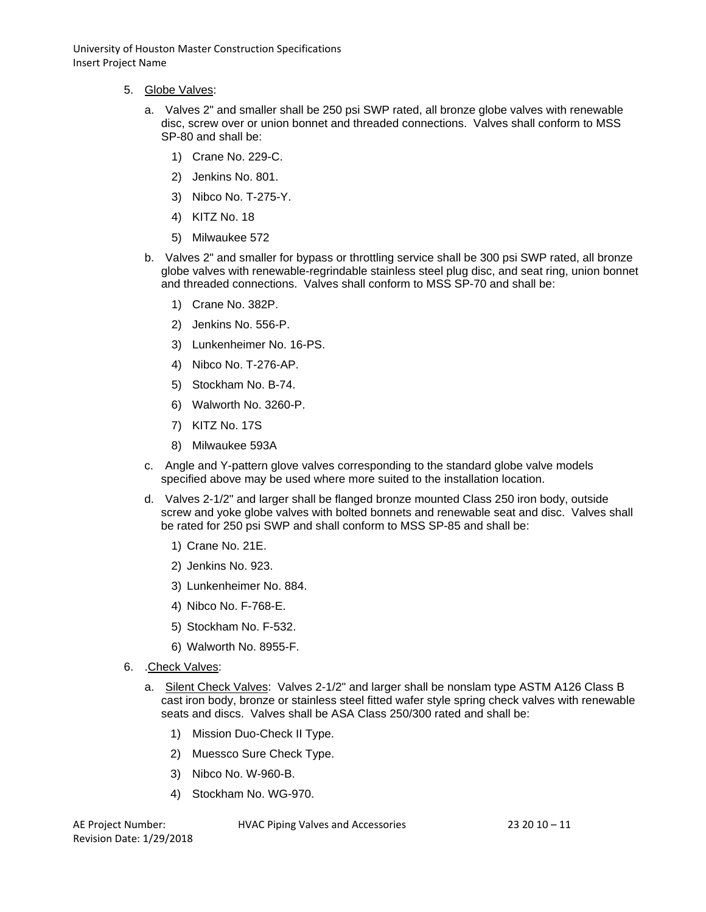- 5. Globe Valves:
	- a. Valves 2" and smaller shall be 250 psi SWP rated, all bronze globe valves with renewable disc, screw over or union bonnet and threaded connections. Valves shall conform to MSS SP-80 and shall be:
		- 1) Crane No. 229-C.
		- 2) Jenkins No. 801.
		- 3) Nibco No. T-275-Y.
		- 4) KITZ No. 18
		- 5) Milwaukee 572
	- b. Valves 2" and smaller for bypass or throttling service shall be 300 psi SWP rated, all bronze globe valves with renewable-regrindable stainless steel plug disc, and seat ring, union bonnet and threaded connections. Valves shall conform to MSS SP-70 and shall be:
		- 1) Crane No. 382P.
		- 2) Jenkins No. 556-P.
		- 3) Lunkenheimer No. 16-PS.
		- 4) Nibco No. T-276-AP.
		- 5) Stockham No. B-74.
		- 6) Walworth No. 3260-P.
		- 7) KITZ No. 17S
		- 8) Milwaukee 593A
	- c. Angle and Y-pattern glove valves corresponding to the standard globe valve models specified above may be used where more suited to the installation location.
	- d. Valves 2-1/2" and larger shall be flanged bronze mounted Class 250 iron body, outside screw and yoke globe valves with bolted bonnets and renewable seat and disc. Valves shall be rated for 250 psi SWP and shall conform to MSS SP-85 and shall be:
		- 1) Crane No. 21E.
		- 2) Jenkins No. 923.
		- 3) Lunkenheimer No. 884.
		- 4) Nibco No. F-768-E.
		- 5) Stockham No. F-532.
		- 6) Walworth No. 8955-F.
- 6. .Check Valves:
	- a. Silent Check Valves: Valves 2-1/2" and larger shall be nonslam type ASTM A126 Class B cast iron body, bronze or stainless steel fitted wafer style spring check valves with renewable seats and discs. Valves shall be ASA Class 250/300 rated and shall be:
		- 1) Mission Duo-Check II Type.
		- 2) Muessco Sure Check Type.
		- 3) Nibco No. W-960-B.
		- 4) Stockham No. WG-970.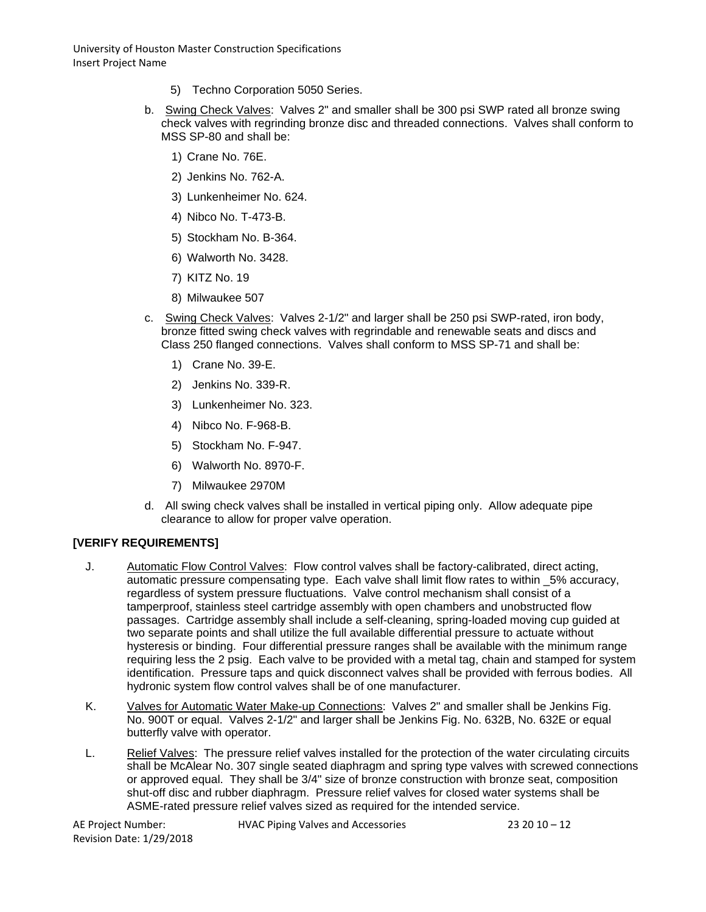- 5) Techno Corporation 5050 Series.
- b. Swing Check Valves: Valves 2" and smaller shall be 300 psi SWP rated all bronze swing check valves with regrinding bronze disc and threaded connections. Valves shall conform to MSS SP-80 and shall be:
	- 1) Crane No. 76E.
	- 2) Jenkins No. 762-A.
	- 3) Lunkenheimer No. 624.
	- 4) Nibco No. T-473-B.
	- 5) Stockham No. B-364.
	- 6) Walworth No. 3428.
	- 7) KITZ No. 19
	- 8) Milwaukee 507
- c. Swing Check Valves: Valves 2-1/2" and larger shall be 250 psi SWP-rated, iron body, bronze fitted swing check valves with regrindable and renewable seats and discs and Class 250 flanged connections. Valves shall conform to MSS SP-71 and shall be:
	- 1) Crane No. 39-E.
	- 2) Jenkins No. 339-R.
	- 3) Lunkenheimer No. 323.
	- 4) Nibco No. F-968-B.
	- 5) Stockham No. F-947.
	- 6) Walworth No. 8970-F.
	- 7) Milwaukee 2970M
- d. All swing check valves shall be installed in vertical piping only. Allow adequate pipe clearance to allow for proper valve operation.

## **[VERIFY REQUIREMENTS]**

- J. Automatic Flow Control Valves: Flow control valves shall be factory-calibrated, direct acting, automatic pressure compensating type. Each valve shall limit flow rates to within \_5% accuracy, regardless of system pressure fluctuations. Valve control mechanism shall consist of a tamperproof, stainless steel cartridge assembly with open chambers and unobstructed flow passages. Cartridge assembly shall include a self-cleaning, spring-loaded moving cup guided at two separate points and shall utilize the full available differential pressure to actuate without hysteresis or binding. Four differential pressure ranges shall be available with the minimum range requiring less the 2 psig. Each valve to be provided with a metal tag, chain and stamped for system identification. Pressure taps and quick disconnect valves shall be provided with ferrous bodies. All hydronic system flow control valves shall be of one manufacturer.
- K. Valves for Automatic Water Make-up Connections: Valves 2" and smaller shall be Jenkins Fig. No. 900T or equal. Valves 2-1/2" and larger shall be Jenkins Fig. No. 632B, No. 632E or equal butterfly valve with operator.
- L. Relief Valves: The pressure relief valves installed for the protection of the water circulating circuits shall be McAlear No. 307 single seated diaphragm and spring type valves with screwed connections or approved equal. They shall be 3/4" size of bronze construction with bronze seat, composition shut-off disc and rubber diaphragm. Pressure relief valves for closed water systems shall be ASME-rated pressure relief valves sized as required for the intended service.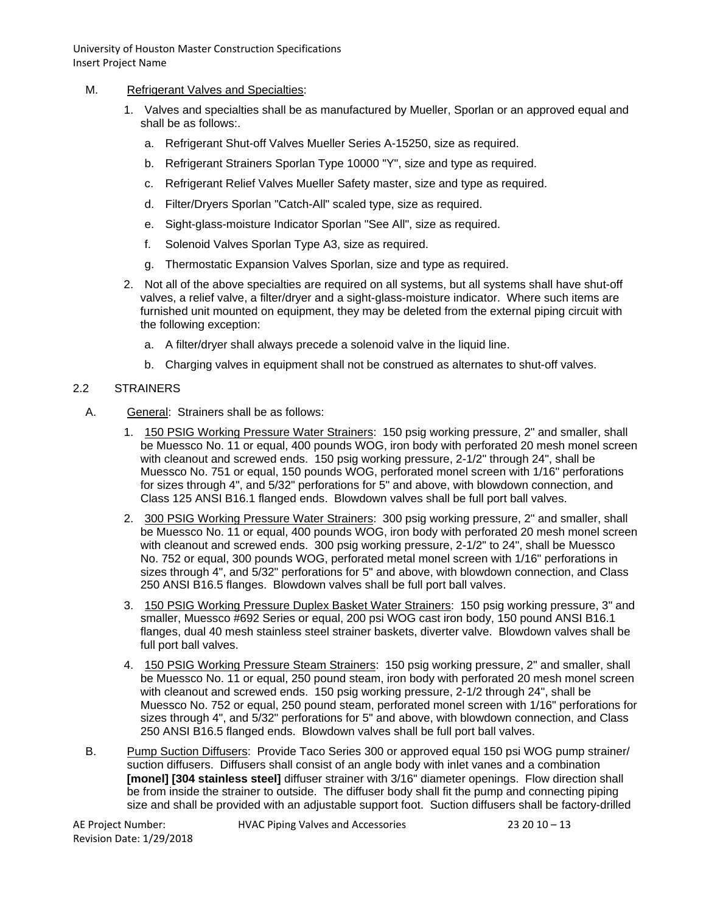- M. Refrigerant Valves and Specialties:
	- 1. Valves and specialties shall be as manufactured by Mueller, Sporlan or an approved equal and shall be as follows:.
		- a. Refrigerant Shut-off Valves Mueller Series A-15250, size as required.
		- b. Refrigerant Strainers Sporlan Type 10000 "Y", size and type as required.
		- c. Refrigerant Relief Valves Mueller Safety master, size and type as required.
		- d. Filter/Dryers Sporlan "Catch-All" scaled type, size as required.
		- e. Sight-glass-moisture Indicator Sporlan "See All", size as required.
		- f. Solenoid Valves Sporlan Type A3, size as required.
		- g. Thermostatic Expansion Valves Sporlan, size and type as required.
	- 2. Not all of the above specialties are required on all systems, but all systems shall have shut-off valves, a relief valve, a filter/dryer and a sight-glass-moisture indicator. Where such items are furnished unit mounted on equipment, they may be deleted from the external piping circuit with the following exception:
		- a. A filter/dryer shall always precede a solenoid valve in the liquid line.
		- b. Charging valves in equipment shall not be construed as alternates to shut-off valves.

#### 2.2 STRAINERS

- A. General: Strainers shall be as follows:
	- 1. 150 PSIG Working Pressure Water Strainers: 150 psig working pressure, 2" and smaller, shall be Muessco No. 11 or equal, 400 pounds WOG, iron body with perforated 20 mesh monel screen with cleanout and screwed ends. 150 psig working pressure, 2-1/2" through 24", shall be Muessco No. 751 or equal, 150 pounds WOG, perforated monel screen with 1/16" perforations for sizes through 4", and 5/32" perforations for 5" and above, with blowdown connection, and Class 125 ANSI B16.1 flanged ends. Blowdown valves shall be full port ball valves.
	- 2. 300 PSIG Working Pressure Water Strainers: 300 psig working pressure, 2" and smaller, shall be Muessco No. 11 or equal, 400 pounds WOG, iron body with perforated 20 mesh monel screen with cleanout and screwed ends. 300 psig working pressure, 2-1/2" to 24", shall be Muessco No. 752 or equal, 300 pounds WOG, perforated metal monel screen with 1/16" perforations in sizes through 4", and 5/32" perforations for 5" and above, with blowdown connection, and Class 250 ANSI B16.5 flanges. Blowdown valves shall be full port ball valves.
	- 3. 150 PSIG Working Pressure Duplex Basket Water Strainers: 150 psig working pressure, 3" and smaller, Muessco #692 Series or equal, 200 psi WOG cast iron body, 150 pound ANSI B16.1 flanges, dual 40 mesh stainless steel strainer baskets, diverter valve. Blowdown valves shall be full port ball valves.
	- 4. 150 PSIG Working Pressure Steam Strainers: 150 psig working pressure, 2" and smaller, shall be Muessco No. 11 or equal, 250 pound steam, iron body with perforated 20 mesh monel screen with cleanout and screwed ends. 150 psig working pressure, 2-1/2 through 24", shall be Muessco No. 752 or equal, 250 pound steam, perforated monel screen with 1/16" perforations for sizes through 4", and 5/32" perforations for 5" and above, with blowdown connection, and Class 250 ANSI B16.5 flanged ends. Blowdown valves shall be full port ball valves.
- B. Pump Suction Diffusers: Provide Taco Series 300 or approved equal 150 psi WOG pump strainer/ suction diffusers. Diffusers shall consist of an angle body with inlet vanes and a combination **[monel] [304 stainless steel]** diffuser strainer with 3/16" diameter openings. Flow direction shall be from inside the strainer to outside. The diffuser body shall fit the pump and connecting piping size and shall be provided with an adjustable support foot. Suction diffusers shall be factory-drilled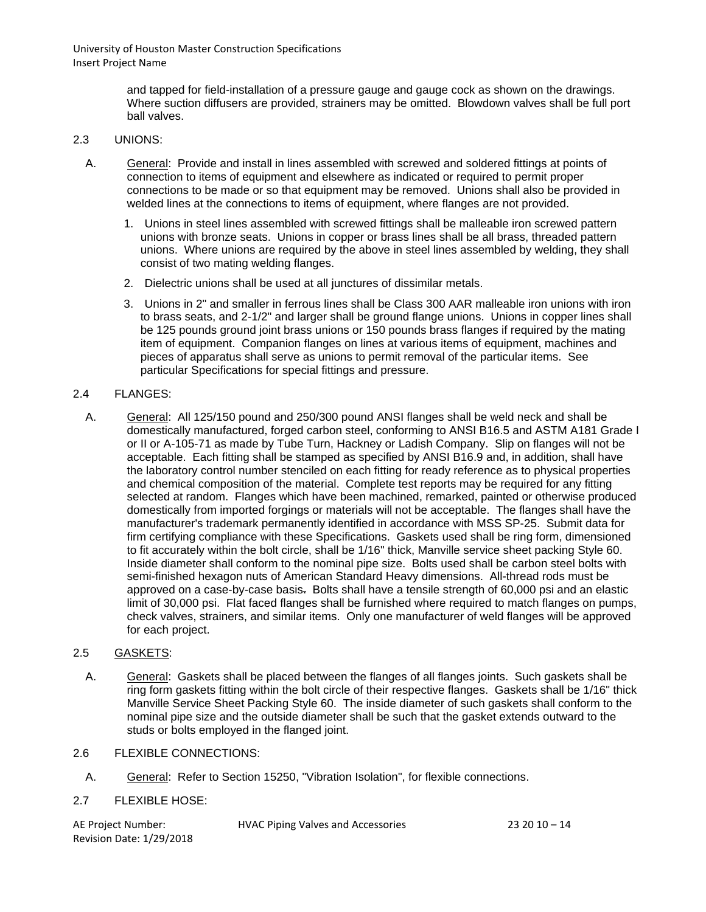> and tapped for field-installation of a pressure gauge and gauge cock as shown on the drawings. Where suction diffusers are provided, strainers may be omitted. Blowdown valves shall be full port ball valves.

### 2.3 UNIONS:

- A. General: Provide and install in lines assembled with screwed and soldered fittings at points of connection to items of equipment and elsewhere as indicated or required to permit proper connections to be made or so that equipment may be removed. Unions shall also be provided in welded lines at the connections to items of equipment, where flanges are not provided.
	- 1. Unions in steel lines assembled with screwed fittings shall be malleable iron screwed pattern unions with bronze seats. Unions in copper or brass lines shall be all brass, threaded pattern unions. Where unions are required by the above in steel lines assembled by welding, they shall consist of two mating welding flanges.
	- 2. Dielectric unions shall be used at all junctures of dissimilar metals.
	- 3. Unions in 2" and smaller in ferrous lines shall be Class 300 AAR malleable iron unions with iron to brass seats, and 2-1/2" and larger shall be ground flange unions. Unions in copper lines shall be 125 pounds ground joint brass unions or 150 pounds brass flanges if required by the mating item of equipment. Companion flanges on lines at various items of equipment, machines and pieces of apparatus shall serve as unions to permit removal of the particular items. See particular Specifications for special fittings and pressure.

#### 2.4 FLANGES:

A. General: All 125/150 pound and 250/300 pound ANSI flanges shall be weld neck and shall be domestically manufactured, forged carbon steel, conforming to ANSI B16.5 and ASTM A181 Grade I or II or A-105-71 as made by Tube Turn, Hackney or Ladish Company. Slip on flanges will not be acceptable. Each fitting shall be stamped as specified by ANSI B16.9 and, in addition, shall have the laboratory control number stenciled on each fitting for ready reference as to physical properties and chemical composition of the material. Complete test reports may be required for any fitting selected at random. Flanges which have been machined, remarked, painted or otherwise produced domestically from imported forgings or materials will not be acceptable. The flanges shall have the manufacturer's trademark permanently identified in accordance with MSS SP-25. Submit data for firm certifying compliance with these Specifications. Gaskets used shall be ring form, dimensioned to fit accurately within the bolt circle, shall be 1/16" thick, Manville service sheet packing Style 60. Inside diameter shall conform to the nominal pipe size. Bolts used shall be carbon steel bolts with semi-finished hexagon nuts of American Standard Heavy dimensions. All-thread rods must be approved on a case-by-case basis. Bolts shall have a tensile strength of 60,000 psi and an elastic limit of 30,000 psi. Flat faced flanges shall be furnished where required to match flanges on pumps, check valves, strainers, and similar items. Only one manufacturer of weld flanges will be approved for each project.

## 2.5 GASKETS:

- A. General: Gaskets shall be placed between the flanges of all flanges joints. Such gaskets shall be ring form gaskets fitting within the bolt circle of their respective flanges. Gaskets shall be 1/16" thick Manville Service Sheet Packing Style 60. The inside diameter of such gaskets shall conform to the nominal pipe size and the outside diameter shall be such that the gasket extends outward to the studs or bolts employed in the flanged joint.
- 2.6 FLEXIBLE CONNECTIONS:
	- A. General: Refer to Section 15250, "Vibration Isolation", for flexible connections.

## 2.7 FLEXIBLE HOSE:

Revision Date: 1/29/2018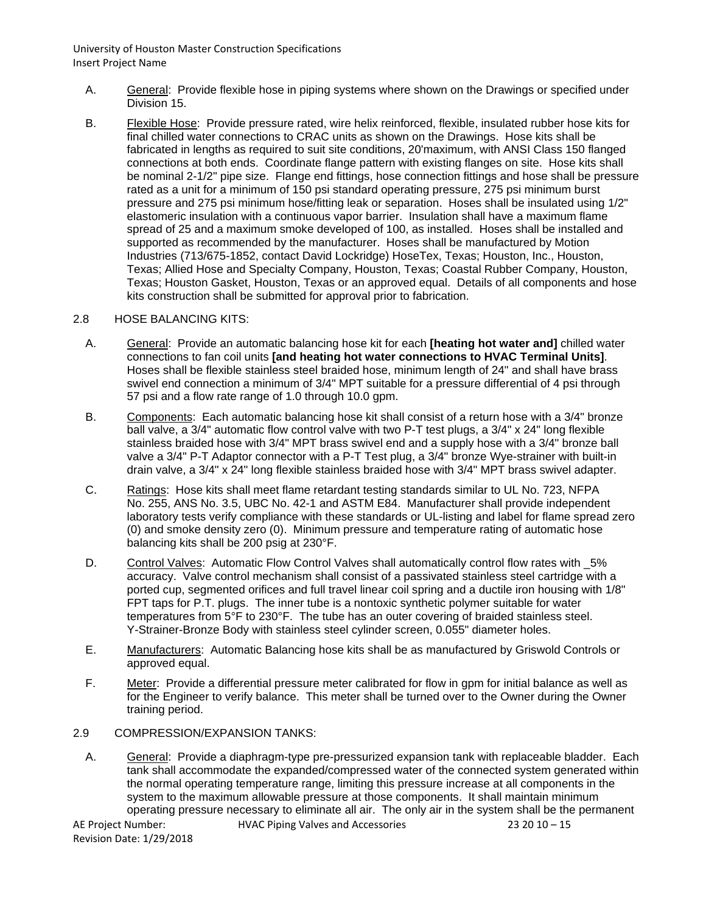- A. General: Provide flexible hose in piping systems where shown on the Drawings or specified under Division 15.
- B. Flexible Hose: Provide pressure rated, wire helix reinforced, flexible, insulated rubber hose kits for final chilled water connections to CRAC units as shown on the Drawings. Hose kits shall be fabricated in lengths as required to suit site conditions, 20'maximum, with ANSI Class 150 flanged connections at both ends. Coordinate flange pattern with existing flanges on site. Hose kits shall be nominal 2-1/2" pipe size. Flange end fittings, hose connection fittings and hose shall be pressure rated as a unit for a minimum of 150 psi standard operating pressure, 275 psi minimum burst pressure and 275 psi minimum hose/fitting leak or separation. Hoses shall be insulated using 1/2" elastomeric insulation with a continuous vapor barrier. Insulation shall have a maximum flame spread of 25 and a maximum smoke developed of 100, as installed. Hoses shall be installed and supported as recommended by the manufacturer. Hoses shall be manufactured by Motion Industries (713/675-1852, contact David Lockridge) HoseTex, Texas; Houston, Inc., Houston, Texas; Allied Hose and Specialty Company, Houston, Texas; Coastal Rubber Company, Houston, Texas; Houston Gasket, Houston, Texas or an approved equal. Details of all components and hose kits construction shall be submitted for approval prior to fabrication.

#### 2.8 HOSE BALANCING KITS:

- A. General: Provide an automatic balancing hose kit for each **[heating hot water and]** chilled water connections to fan coil units **[and heating hot water connections to HVAC Terminal Units]**. Hoses shall be flexible stainless steel braided hose, minimum length of 24" and shall have brass swivel end connection a minimum of 3/4" MPT suitable for a pressure differential of 4 psi through 57 psi and a flow rate range of 1.0 through 10.0 gpm.
- B. Components: Each automatic balancing hose kit shall consist of a return hose with a 3/4" bronze ball valve, a 3/4" automatic flow control valve with two P-T test plugs, a 3/4" x 24" long flexible stainless braided hose with 3/4" MPT brass swivel end and a supply hose with a 3/4" bronze ball valve a 3/4" P-T Adaptor connector with a P-T Test plug, a 3/4" bronze Wye-strainer with built-in drain valve, a 3/4" x 24" long flexible stainless braided hose with 3/4" MPT brass swivel adapter.
- C. Ratings: Hose kits shall meet flame retardant testing standards similar to UL No. 723, NFPA No. 255, ANS No. 3.5, UBC No. 42-1 and ASTM E84. Manufacturer shall provide independent laboratory tests verify compliance with these standards or UL-listing and label for flame spread zero (0) and smoke density zero (0). Minimum pressure and temperature rating of automatic hose balancing kits shall be 200 psig at 230°F.
- D. Control Valves: Automatic Flow Control Valves shall automatically control flow rates with  $5%$ accuracy. Valve control mechanism shall consist of a passivated stainless steel cartridge with a ported cup, segmented orifices and full travel linear coil spring and a ductile iron housing with 1/8" FPT taps for P.T. plugs. The inner tube is a nontoxic synthetic polymer suitable for water temperatures from 5°F to 230°F. The tube has an outer covering of braided stainless steel. Y-Strainer-Bronze Body with stainless steel cylinder screen, 0.055" diameter holes.
- E. Manufacturers: Automatic Balancing hose kits shall be as manufactured by Griswold Controls or approved equal.
- F. Meter: Provide a differential pressure meter calibrated for flow in gpm for initial balance as well as for the Engineer to verify balance. This meter shall be turned over to the Owner during the Owner training period.

#### 2.9 COMPRESSION/EXPANSION TANKS:

AE Project Number: HVAC Piping Valves and Accessories 23 20 10 – 15 A. General: Provide a diaphragm-type pre-pressurized expansion tank with replaceable bladder. Each tank shall accommodate the expanded/compressed water of the connected system generated within the normal operating temperature range, limiting this pressure increase at all components in the system to the maximum allowable pressure at those components. It shall maintain minimum operating pressure necessary to eliminate all air. The only air in the system shall be the permanent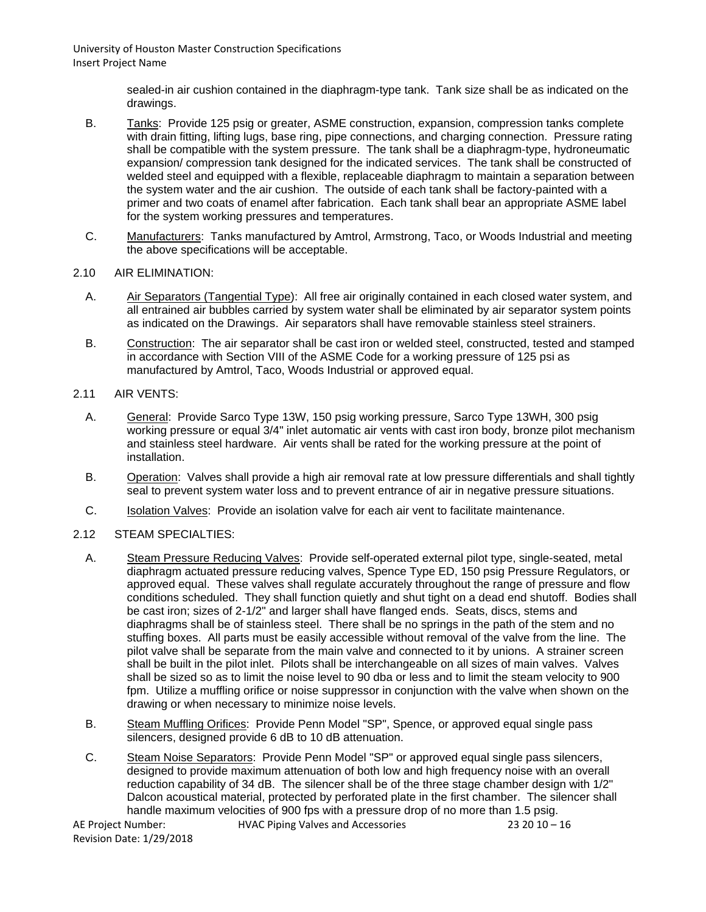> sealed-in air cushion contained in the diaphragm-type tank. Tank size shall be as indicated on the drawings.

- B. Tanks: Provide 125 psig or greater, ASME construction, expansion, compression tanks complete with drain fitting, lifting lugs, base ring, pipe connections, and charging connection. Pressure rating shall be compatible with the system pressure. The tank shall be a diaphragm-type, hydroneumatic expansion/ compression tank designed for the indicated services. The tank shall be constructed of welded steel and equipped with a flexible, replaceable diaphragm to maintain a separation between the system water and the air cushion. The outside of each tank shall be factory-painted with a primer and two coats of enamel after fabrication. Each tank shall bear an appropriate ASME label for the system working pressures and temperatures.
- C. Manufacturers: Tanks manufactured by Amtrol, Armstrong, Taco, or Woods Industrial and meeting the above specifications will be acceptable.
- 2.10 AIR ELIMINATION:
	- A. Air Separators (Tangential Type): All free air originally contained in each closed water system, and all entrained air bubbles carried by system water shall be eliminated by air separator system points as indicated on the Drawings. Air separators shall have removable stainless steel strainers.
	- B. Construction: The air separator shall be cast iron or welded steel, constructed, tested and stamped in accordance with Section VIII of the ASME Code for a working pressure of 125 psi as manufactured by Amtrol, Taco, Woods Industrial or approved equal.
- 2.11 AIR VENTS:
	- A. General: Provide Sarco Type 13W, 150 psig working pressure, Sarco Type 13WH, 300 psig working pressure or equal 3/4" inlet automatic air vents with cast iron body, bronze pilot mechanism and stainless steel hardware. Air vents shall be rated for the working pressure at the point of installation.
	- B. Operation: Valves shall provide a high air removal rate at low pressure differentials and shall tightly seal to prevent system water loss and to prevent entrance of air in negative pressure situations.
	- C. Isolation Valves: Provide an isolation valve for each air vent to facilitate maintenance.
- 2.12 STEAM SPECIALTIES:
	- A. Steam Pressure Reducing Valves: Provide self-operated external pilot type, single-seated, metal diaphragm actuated pressure reducing valves, Spence Type ED, 150 psig Pressure Regulators, or approved equal. These valves shall regulate accurately throughout the range of pressure and flow conditions scheduled. They shall function quietly and shut tight on a dead end shutoff. Bodies shall be cast iron; sizes of 2-1/2" and larger shall have flanged ends. Seats, discs, stems and diaphragms shall be of stainless steel. There shall be no springs in the path of the stem and no stuffing boxes. All parts must be easily accessible without removal of the valve from the line. The pilot valve shall be separate from the main valve and connected to it by unions. A strainer screen shall be built in the pilot inlet. Pilots shall be interchangeable on all sizes of main valves. Valves shall be sized so as to limit the noise level to 90 dba or less and to limit the steam velocity to 900 fpm. Utilize a muffling orifice or noise suppressor in conjunction with the valve when shown on the drawing or when necessary to minimize noise levels.
	- B. Steam Muffling Orifices: Provide Penn Model "SP", Spence, or approved equal single pass silencers, designed provide 6 dB to 10 dB attenuation.
	- C. Steam Noise Separators: Provide Penn Model "SP" or approved equal single pass silencers, designed to provide maximum attenuation of both low and high frequency noise with an overall reduction capability of 34 dB. The silencer shall be of the three stage chamber design with 1/2" Dalcon acoustical material, protected by perforated plate in the first chamber. The silencer shall handle maximum velocities of 900 fps with a pressure drop of no more than 1.5 psig.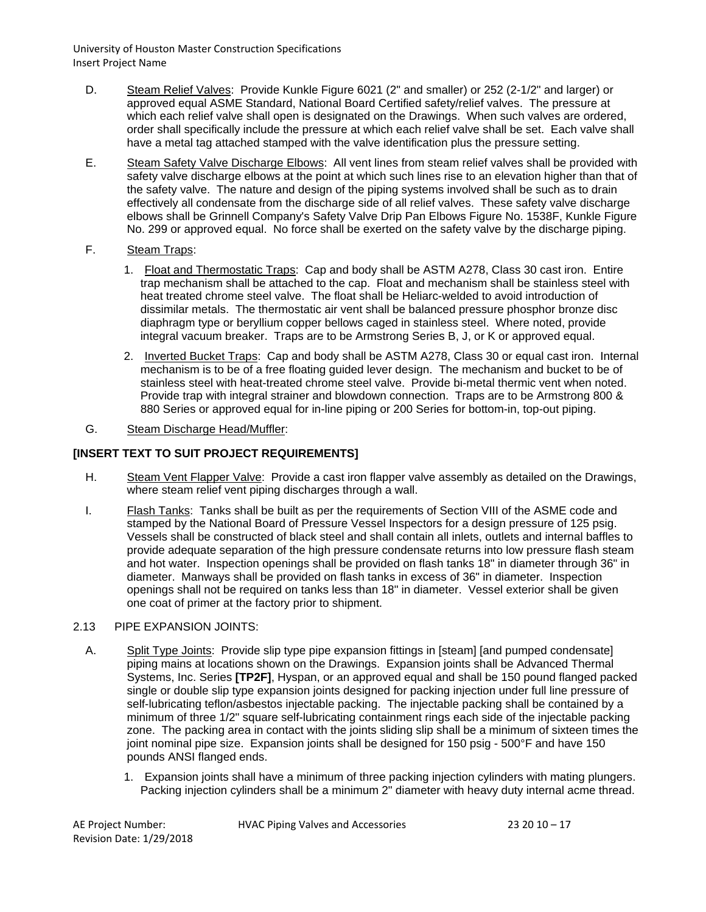- D. Steam Relief Valves: Provide Kunkle Figure 6021 (2" and smaller) or 252 (2-1/2" and larger) or approved equal ASME Standard, National Board Certified safety/relief valves. The pressure at which each relief valve shall open is designated on the Drawings. When such valves are ordered, order shall specifically include the pressure at which each relief valve shall be set. Each valve shall have a metal tag attached stamped with the valve identification plus the pressure setting.
- E. Steam Safety Valve Discharge Elbows: All vent lines from steam relief valves shall be provided with safety valve discharge elbows at the point at which such lines rise to an elevation higher than that of the safety valve. The nature and design of the piping systems involved shall be such as to drain effectively all condensate from the discharge side of all relief valves. These safety valve discharge elbows shall be Grinnell Company's Safety Valve Drip Pan Elbows Figure No. 1538F, Kunkle Figure No. 299 or approved equal. No force shall be exerted on the safety valve by the discharge piping.
- F. Steam Traps:
	- 1. Float and Thermostatic Traps: Cap and body shall be ASTM A278, Class 30 cast iron. Entire trap mechanism shall be attached to the cap. Float and mechanism shall be stainless steel with heat treated chrome steel valve. The float shall be Heliarc-welded to avoid introduction of dissimilar metals. The thermostatic air vent shall be balanced pressure phosphor bronze disc diaphragm type or beryllium copper bellows caged in stainless steel. Where noted, provide integral vacuum breaker. Traps are to be Armstrong Series B, J, or K or approved equal.
	- 2. Inverted Bucket Traps: Cap and body shall be ASTM A278, Class 30 or equal cast iron. Internal mechanism is to be of a free floating guided lever design. The mechanism and bucket to be of stainless steel with heat-treated chrome steel valve. Provide bi-metal thermic vent when noted. Provide trap with integral strainer and blowdown connection. Traps are to be Armstrong 800 & 880 Series or approved equal for in-line piping or 200 Series for bottom-in, top-out piping.
- G. Steam Discharge Head/Muffler:

# **[INSERT TEXT TO SUIT PROJECT REQUIREMENTS]**

- H. Steam Vent Flapper Valve: Provide a cast iron flapper valve assembly as detailed on the Drawings, where steam relief vent piping discharges through a wall.
- I. Flash Tanks: Tanks shall be built as per the requirements of Section VIII of the ASME code and stamped by the National Board of Pressure Vessel Inspectors for a design pressure of 125 psig. Vessels shall be constructed of black steel and shall contain all inlets, outlets and internal baffles to provide adequate separation of the high pressure condensate returns into low pressure flash steam and hot water. Inspection openings shall be provided on flash tanks 18" in diameter through 36" in diameter. Manways shall be provided on flash tanks in excess of 36" in diameter. Inspection openings shall not be required on tanks less than 18" in diameter. Vessel exterior shall be given one coat of primer at the factory prior to shipment.

## 2.13 PIPE EXPANSION JOINTS:

- A. Split Type Joints: Provide slip type pipe expansion fittings in [steam] [and pumped condensate] piping mains at locations shown on the Drawings. Expansion joints shall be Advanced Thermal Systems, Inc. Series **[TP2F]**, Hyspan, or an approved equal and shall be 150 pound flanged packed single or double slip type expansion joints designed for packing injection under full line pressure of self-lubricating teflon/asbestos injectable packing. The injectable packing shall be contained by a minimum of three 1/2" square self-lubricating containment rings each side of the injectable packing zone. The packing area in contact with the joints sliding slip shall be a minimum of sixteen times the joint nominal pipe size. Expansion joints shall be designed for 150 psig - 500°F and have 150 pounds ANSI flanged ends.
	- 1. Expansion joints shall have a minimum of three packing injection cylinders with mating plungers. Packing injection cylinders shall be a minimum 2" diameter with heavy duty internal acme thread.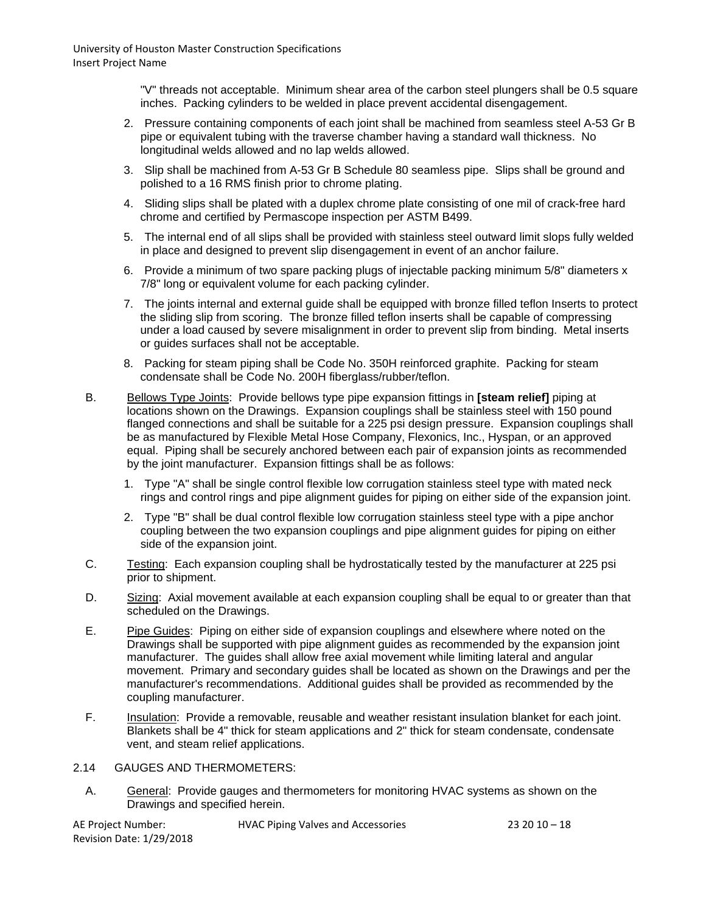"V" threads not acceptable. Minimum shear area of the carbon steel plungers shall be 0.5 square inches. Packing cylinders to be welded in place prevent accidental disengagement.

- 2. Pressure containing components of each joint shall be machined from seamless steel A-53 Gr B pipe or equivalent tubing with the traverse chamber having a standard wall thickness. No longitudinal welds allowed and no lap welds allowed.
- 3. Slip shall be machined from A-53 Gr B Schedule 80 seamless pipe. Slips shall be ground and polished to a 16 RMS finish prior to chrome plating.
- 4. Sliding slips shall be plated with a duplex chrome plate consisting of one mil of crack-free hard chrome and certified by Permascope inspection per ASTM B499.
- 5. The internal end of all slips shall be provided with stainless steel outward limit slops fully welded in place and designed to prevent slip disengagement in event of an anchor failure.
- 6. Provide a minimum of two spare packing plugs of injectable packing minimum 5/8" diameters x 7/8" long or equivalent volume for each packing cylinder.
- 7. The joints internal and external guide shall be equipped with bronze filled teflon Inserts to protect the sliding slip from scoring. The bronze filled teflon inserts shall be capable of compressing under a load caused by severe misalignment in order to prevent slip from binding. Metal inserts or guides surfaces shall not be acceptable.
- 8. Packing for steam piping shall be Code No. 350H reinforced graphite. Packing for steam condensate shall be Code No. 200H fiberglass/rubber/teflon.
- B. Bellows Type Joints: Provide bellows type pipe expansion fittings in **[steam relief]** piping at locations shown on the Drawings. Expansion couplings shall be stainless steel with 150 pound flanged connections and shall be suitable for a 225 psi design pressure. Expansion couplings shall be as manufactured by Flexible Metal Hose Company, Flexonics, Inc., Hyspan, or an approved equal. Piping shall be securely anchored between each pair of expansion joints as recommended by the joint manufacturer. Expansion fittings shall be as follows:
	- 1. Type "A" shall be single control flexible low corrugation stainless steel type with mated neck rings and control rings and pipe alignment guides for piping on either side of the expansion joint.
	- 2. Type "B" shall be dual control flexible low corrugation stainless steel type with a pipe anchor coupling between the two expansion couplings and pipe alignment guides for piping on either side of the expansion joint.
- C. Testing: Each expansion coupling shall be hydrostatically tested by the manufacturer at 225 psi prior to shipment.
- D. Sizing: Axial movement available at each expansion coupling shall be equal to or greater than that scheduled on the Drawings.
- E. Pipe Guides: Piping on either side of expansion couplings and elsewhere where noted on the Drawings shall be supported with pipe alignment guides as recommended by the expansion joint manufacturer. The guides shall allow free axial movement while limiting lateral and angular movement. Primary and secondary guides shall be located as shown on the Drawings and per the manufacturer's recommendations. Additional guides shall be provided as recommended by the coupling manufacturer.
- F. Insulation: Provide a removable, reusable and weather resistant insulation blanket for each joint. Blankets shall be 4" thick for steam applications and 2" thick for steam condensate, condensate vent, and steam relief applications.

# 2.14 GAUGES AND THERMOMETERS:

A. General: Provide gauges and thermometers for monitoring HVAC systems as shown on the Drawings and specified herein.

| AE Project Number:       | <b>HVAC Piping Valves and Accessories</b> | $23\,20\,10-18$ |
|--------------------------|-------------------------------------------|-----------------|
| Revision Date: 1/29/2018 |                                           |                 |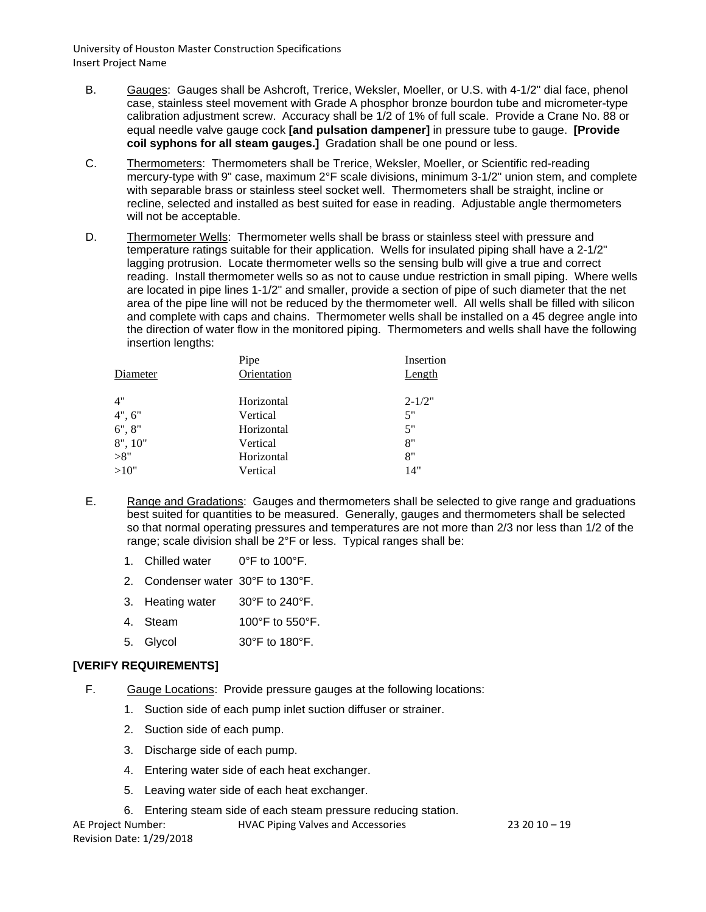- B. Gauges: Gauges shall be Ashcroft, Trerice, Weksler, Moeller, or U.S. with 4-1/2" dial face, phenol case, stainless steel movement with Grade A phosphor bronze bourdon tube and micrometer-type calibration adjustment screw. Accuracy shall be 1/2 of 1% of full scale. Provide a Crane No. 88 or equal needle valve gauge cock **[and pulsation dampener]** in pressure tube to gauge. **[Provide coil syphons for all steam gauges.]** Gradation shall be one pound or less.
- C. Thermometers: Thermometers shall be Trerice, Weksler, Moeller, or Scientific red-reading mercury-type with 9" case, maximum 2°F scale divisions, minimum 3-1/2" union stem, and complete with separable brass or stainless steel socket well. Thermometers shall be straight, incline or recline, selected and installed as best suited for ease in reading. Adjustable angle thermometers will not be acceptable.
- D. Thermometer Wells: Thermometer wells shall be brass or stainless steel with pressure and temperature ratings suitable for their application. Wells for insulated piping shall have a 2-1/2" lagging protrusion. Locate thermometer wells so the sensing bulb will give a true and correct reading. Install thermometer wells so as not to cause undue restriction in small piping. Where wells are located in pipe lines 1-1/2" and smaller, provide a section of pipe of such diameter that the net area of the pipe line will not be reduced by the thermometer well. All wells shall be filled with silicon and complete with caps and chains. Thermometer wells shall be installed on a 45 degree angle into the direction of water flow in the monitored piping. Thermometers and wells shall have the following insertion lengths:

|          | Pipe        | Insertion  |
|----------|-------------|------------|
| Diameter | Orientation | Length     |
|          |             |            |
| 4"       | Horizontal  | $2 - 1/2"$ |
| 4", 6"   | Vertical    | 5"         |
| 6", 8"   | Horizontal  | 5"         |
| 8", 10"  | Vertical    | 8"         |
| >8"      | Horizontal  | 8"         |
| >10"     | Vertical    | 14"        |
|          |             |            |

- E. Range and Gradations: Gauges and thermometers shall be selected to give range and graduations best suited for quantities to be measured. Generally, gauges and thermometers shall be selected so that normal operating pressures and temperatures are not more than 2/3 nor less than 1/2 of the range; scale division shall be 2°F or less. Typical ranges shall be:
	- 1. Chilled water 0°F to 100°F.
	- 2. Condenser water 30°F to 130°F.
	- 3. Heating water 30°F to 240°F.
	- 4. Steam 100°F to 550°F.
	- 5. Glycol 30°F to 180°F.

# **[VERIFY REQUIREMENTS]**

- F. Gauge Locations: Provide pressure gauges at the following locations:
	- 1. Suction side of each pump inlet suction diffuser or strainer.
	- 2. Suction side of each pump.
	- 3. Discharge side of each pump.
	- 4. Entering water side of each heat exchanger.
	- 5. Leaving water side of each heat exchanger.
	- 6. Entering steam side of each steam pressure reducing station.

AE Project Number: HVAC Piping Valves and Accessories 23 20 10 – 19 Revision Date: 1/29/2018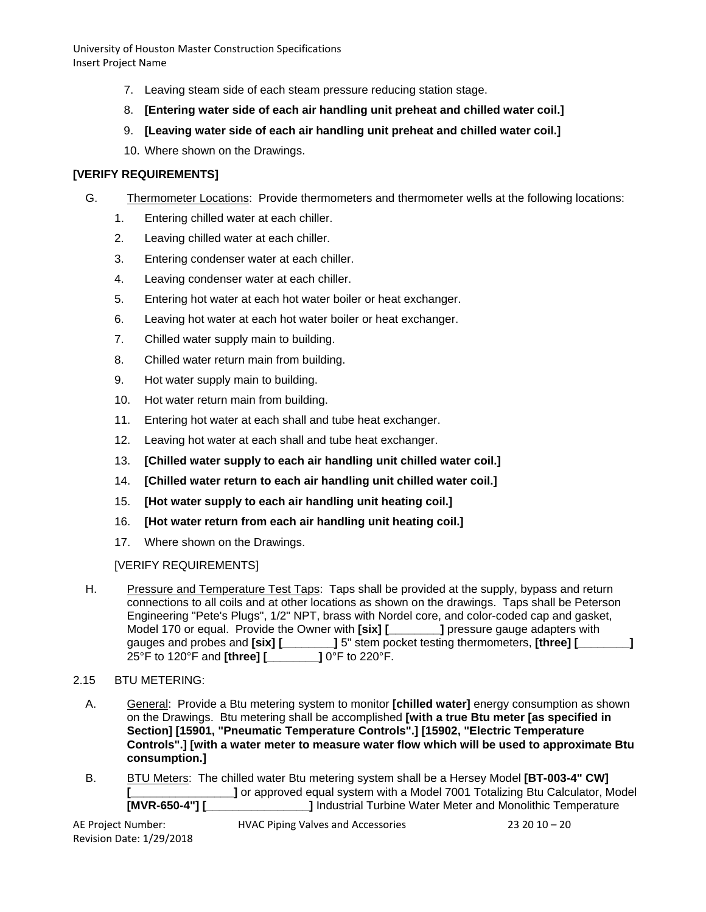- 7. Leaving steam side of each steam pressure reducing station stage.
- 8. **[Entering water side of each air handling unit preheat and chilled water coil.]**
- 9. **[Leaving water side of each air handling unit preheat and chilled water coil.]**
- 10. Where shown on the Drawings.

# **[VERIFY REQUIREMENTS]**

- G. Thermometer Locations: Provide thermometers and thermometer wells at the following locations:
	- 1. Entering chilled water at each chiller.
	- 2. Leaving chilled water at each chiller.
	- 3. Entering condenser water at each chiller.
	- 4. Leaving condenser water at each chiller.
	- 5. Entering hot water at each hot water boiler or heat exchanger.
	- 6. Leaving hot water at each hot water boiler or heat exchanger.
	- 7. Chilled water supply main to building.
	- 8. Chilled water return main from building.
	- 9. Hot water supply main to building.
	- 10. Hot water return main from building.
	- 11. Entering hot water at each shall and tube heat exchanger.
	- 12. Leaving hot water at each shall and tube heat exchanger.
	- 13. **[Chilled water supply to each air handling unit chilled water coil.]**
	- 14. **[Chilled water return to each air handling unit chilled water coil.]**
	- 15. **[Hot water supply to each air handling unit heating coil.]**
	- 16. **[Hot water return from each air handling unit heating coil.]**
	- 17. Where shown on the Drawings.

[VERIFY REQUIREMENTS]

H. Pressure and Temperature Test Taps: Taps shall be provided at the supply, bypass and return connections to all coils and at other locations as shown on the drawings. Taps shall be Peterson Engineering "Pete's Plugs", 1/2" NPT, brass with Nordel core, and color-coded cap and gasket, Model 170 or equal. Provide the Owner with **[six]** [  $\qquad$  ] pressure gauge adapters with gauges and probes and **[six] [\_\_\_\_\_\_\_\_]** 5" stem pocket testing thermometers, **[three] [\_\_\_\_\_\_\_\_]**<br>25°F to 120°F and **[three] [**\_\_\_\_\_\_\_\_\_\_] 0°F to 220°F. 25°F to 120°F and **[three] [\_\_\_\_\_\_\_\_]** 0°F to 220°F.

# 2.15 BTU METERING:

- A. General: Provide a Btu metering system to monitor **[chilled water]** energy consumption as shown on the Drawings. Btu metering shall be accomplished **[with a true Btu meter [as specified in Section] [15901, "Pneumatic Temperature Controls".] [15902, "Electric Temperature Controls".] [with a water meter to measure water flow which will be used to approximate Btu consumption.]**
- B. BTU Meters: The chilled water Btu metering system shall be a Hersey Model **[BT-003-4" CW] [\_\_\_\_\_\_\_\_\_\_\_\_\_\_\_\_\_\_\_]** or approved equal system with a Model 7001 Totalizing Btu Calculator, Model **[MVR-650-4"] [ 1** Industrial Turbine Water Meter and Monolithic Temperature **I** Industrial Turbine Water Meter and Monolithic Temperature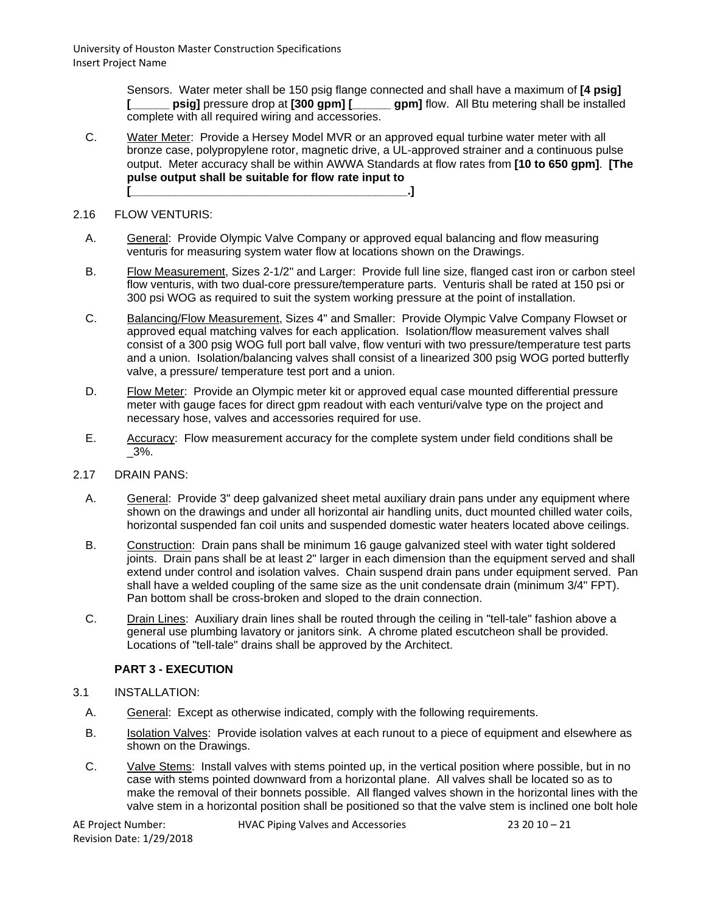> Sensors. Water meter shall be 150 psig flange connected and shall have a maximum of **[4 psig] [\_\_\_\_\_\_ psig]** pressure drop at **[300 gpm] [\_\_\_\_\_\_ gpm]** flow. All Btu metering shall be installed complete with all required wiring and accessories.

C. Water Meter: Provide a Hersey Model MVR or an approved equal turbine water meter with all bronze case, polypropylene rotor, magnetic drive, a UL-approved strainer and a continuous pulse output. Meter accuracy shall be within AWWA Standards at flow rates from **[10 to 650 gpm]**. **[The pulse output shall be suitable for flow rate input to [\_\_\_\_\_\_\_\_\_\_\_\_\_\_\_\_\_\_\_\_\_\_\_\_\_\_\_\_\_\_\_\_\_\_\_\_\_\_\_\_\_\_\_.]**

#### 2.16 FLOW VENTURIS:

- A. General: Provide Olympic Valve Company or approved equal balancing and flow measuring venturis for measuring system water flow at locations shown on the Drawings.
- B. Flow Measurement, Sizes 2-1/2" and Larger: Provide full line size, flanged cast iron or carbon steel flow venturis, with two dual-core pressure/temperature parts. Venturis shall be rated at 150 psi or 300 psi WOG as required to suit the system working pressure at the point of installation.
- C. Balancing/Flow Measurement, Sizes 4" and Smaller: Provide Olympic Valve Company Flowset or approved equal matching valves for each application. Isolation/flow measurement valves shall consist of a 300 psig WOG full port ball valve, flow venturi with two pressure/temperature test parts and a union. Isolation/balancing valves shall consist of a linearized 300 psig WOG ported butterfly valve, a pressure/ temperature test port and a union.
- D. Flow Meter: Provide an Olympic meter kit or approved equal case mounted differential pressure meter with gauge faces for direct gpm readout with each venturi/valve type on the project and necessary hose, valves and accessories required for use.
- E. Accuracy: Flow measurement accuracy for the complete system under field conditions shall be  $-3\%$ .

#### 2.17 DRAIN PANS:

- A. General: Provide 3" deep galvanized sheet metal auxiliary drain pans under any equipment where shown on the drawings and under all horizontal air handling units, duct mounted chilled water coils, horizontal suspended fan coil units and suspended domestic water heaters located above ceilings.
- B. Construction: Drain pans shall be minimum 16 gauge galvanized steel with water tight soldered joints. Drain pans shall be at least 2" larger in each dimension than the equipment served and shall extend under control and isolation valves. Chain suspend drain pans under equipment served. Pan shall have a welded coupling of the same size as the unit condensate drain (minimum 3/4" FPT). Pan bottom shall be cross-broken and sloped to the drain connection.
- C. Drain Lines: Auxiliary drain lines shall be routed through the ceiling in "tell-tale" fashion above a general use plumbing lavatory or janitors sink. A chrome plated escutcheon shall be provided. Locations of "tell-tale" drains shall be approved by the Architect.

## **PART 3 - EXECUTION**

- 3.1 INSTALLATION:
	- A. General: Except as otherwise indicated, comply with the following requirements.
	- B. Isolation Valves: Provide isolation valves at each runout to a piece of equipment and elsewhere as shown on the Drawings.
	- C. Valve Stems: Install valves with stems pointed up, in the vertical position where possible, but in no case with stems pointed downward from a horizontal plane. All valves shall be located so as to make the removal of their bonnets possible. All flanged valves shown in the horizontal lines with the valve stem in a horizontal position shall be positioned so that the valve stem is inclined one bolt hole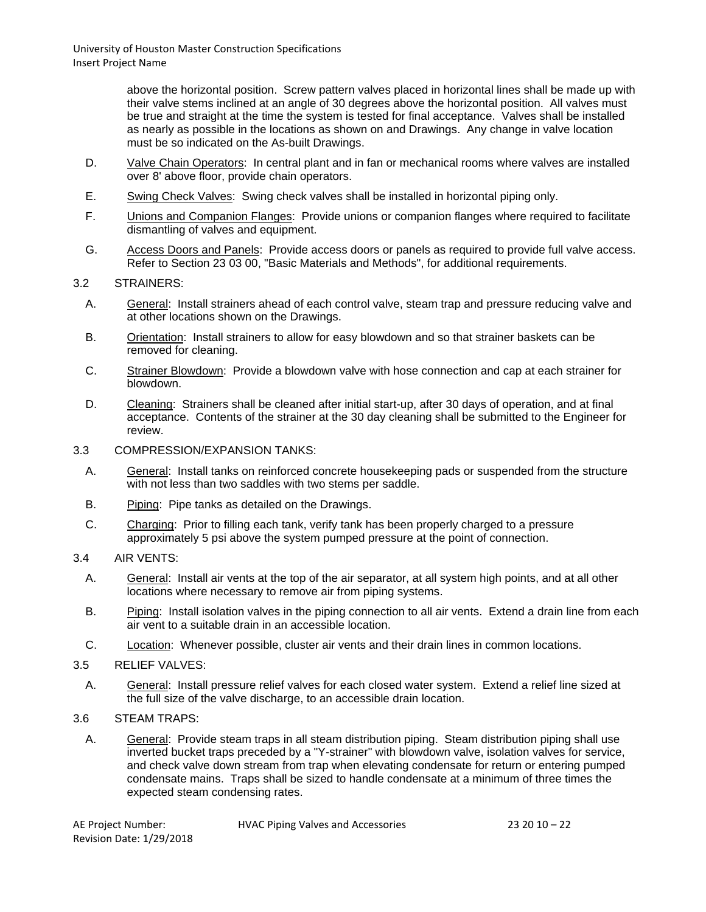> above the horizontal position. Screw pattern valves placed in horizontal lines shall be made up with their valve stems inclined at an angle of 30 degrees above the horizontal position. All valves must be true and straight at the time the system is tested for final acceptance. Valves shall be installed as nearly as possible in the locations as shown on and Drawings. Any change in valve location must be so indicated on the As-built Drawings.

- D. Valve Chain Operators: In central plant and in fan or mechanical rooms where valves are installed over 8' above floor, provide chain operators.
- E. Swing Check Valves: Swing check valves shall be installed in horizontal piping only.
- F. Unions and Companion Flanges: Provide unions or companion flanges where required to facilitate dismantling of valves and equipment.
- G. Access Doors and Panels: Provide access doors or panels as required to provide full valve access. Refer to Section 23 03 00, "Basic Materials and Methods", for additional requirements.
- 3.2 STRAINERS:
	- A. General: Install strainers ahead of each control valve, steam trap and pressure reducing valve and at other locations shown on the Drawings.
	- B. Orientation: Install strainers to allow for easy blowdown and so that strainer baskets can be removed for cleaning.
	- C. Strainer Blowdown: Provide a blowdown valve with hose connection and cap at each strainer for blowdown.
	- D. Cleaning: Strainers shall be cleaned after initial start-up, after 30 days of operation, and at final acceptance. Contents of the strainer at the 30 day cleaning shall be submitted to the Engineer for review.
- 3.3 COMPRESSION/EXPANSION TANKS:
	- A. General: Install tanks on reinforced concrete housekeeping pads or suspended from the structure with not less than two saddles with two stems per saddle.
	- B. Piping: Pipe tanks as detailed on the Drawings.
	- C. Charging: Prior to filling each tank, verify tank has been properly charged to a pressure approximately 5 psi above the system pumped pressure at the point of connection.
- 3.4 AIR VENTS:
	- A. General: Install air vents at the top of the air separator, at all system high points, and at all other locations where necessary to remove air from piping systems.
	- B. Piping: Install isolation valves in the piping connection to all air vents. Extend a drain line from each air vent to a suitable drain in an accessible location.
	- C. Location: Whenever possible, cluster air vents and their drain lines in common locations.
- 3.5 RELIEF VALVES:
	- A. General: Install pressure relief valves for each closed water system. Extend a relief line sized at the full size of the valve discharge, to an accessible drain location.

## 3.6 STEAM TRAPS:

A. General: Provide steam traps in all steam distribution piping. Steam distribution piping shall use inverted bucket traps preceded by a "Y-strainer" with blowdown valve, isolation valves for service, and check valve down stream from trap when elevating condensate for return or entering pumped condensate mains. Traps shall be sized to handle condensate at a minimum of three times the expected steam condensing rates.